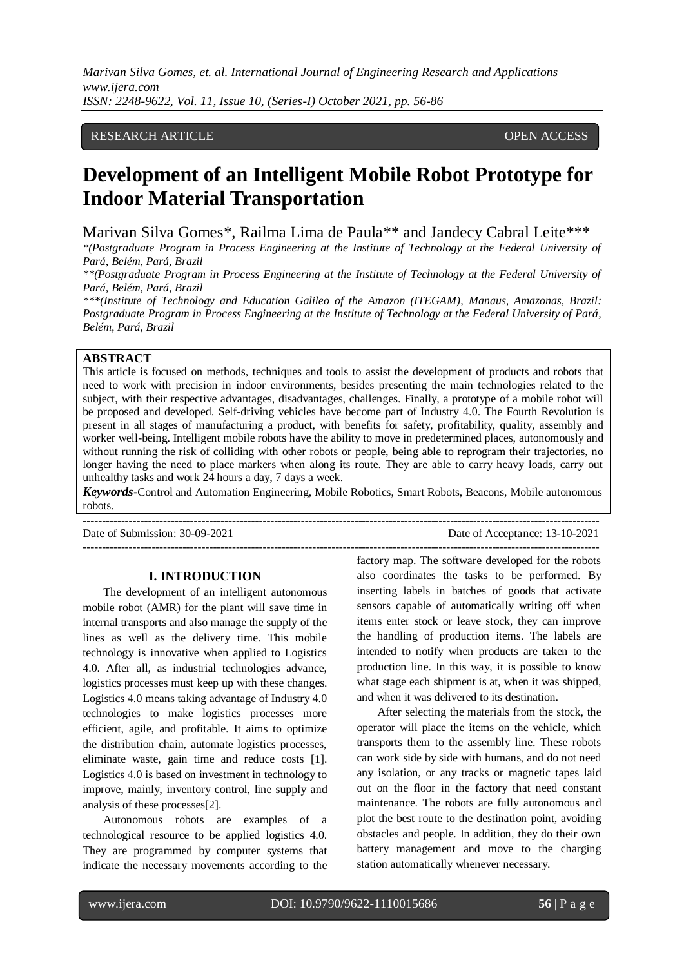# RESEARCH ARTICLE **CONSERVERS** OPEN ACCESS

# **Development of an Intelligent Mobile Robot Prototype for Indoor Material Transportation**

Marivan Silva Gomes\*, Railma Lima de Paula\*\* and Jandecy Cabral Leite\*\*\*

*\*(Postgraduate Program in Process Engineering at the Institute of Technology at the Federal University of Pará, Belém, Pará, Brazil*

*\*\*(Postgraduate Program in Process Engineering at the Institute of Technology at the Federal University of Pará, Belém, Pará, Brazil*

*\*\*\*(Institute of Technology and Education Galileo of the Amazon (ITEGAM), Manaus, Amazonas, Brazil: Postgraduate Program in Process Engineering at the Institute of Technology at the Federal University of Pará, Belém, Pará, Brazil*

## **ABSTRACT**

This article is focused on methods, techniques and tools to assist the development of products and robots that need to work with precision in indoor environments, besides presenting the main technologies related to the subject, with their respective advantages, disadvantages, challenges. Finally, a prototype of a mobile robot will be proposed and developed. Self-driving vehicles have become part of Industry 4.0. The Fourth Revolution is present in all stages of manufacturing a product, with benefits for safety, profitability, quality, assembly and worker well-being. Intelligent mobile robots have the ability to move in predetermined places, autonomously and without running the risk of colliding with other robots or people, being able to reprogram their trajectories, no longer having the need to place markers when along its route. They are able to carry heavy loads, carry out unhealthy tasks and work 24 hours a day, 7 days a week.

*Keywords***-**Control and Automation Engineering, Mobile Robotics, Smart Robots, Beacons, Mobile autonomous robots. ---------------------------------------------------------------------------------------------------------------------------------------

Date of Submission: 30-09-2021 Date of Acceptance: 13-10-2021

 $-1\leq i\leq n-1\leq n-1\leq n-1\leq n-1\leq n-1\leq n-1\leq n-1\leq n-1\leq n-1\leq n-1\leq n-1\leq n-1\leq n-1\leq n-1\leq n-1\leq n-1\leq n-1\leq n-1\leq n-1\leq n-1\leq n-1\leq n-1\leq n-1\leq n-1\leq n-1\leq n-1\leq n-1\leq n-1\leq n-1\leq n-1\leq n-1\leq n-1\leq n-1\leq n-1\leq n-1\leq n$ 

#### **I. INTRODUCTION**

The development of an intelligent autonomous mobile robot (AMR) for the plant will save time in internal transports and also manage the supply of the lines as well as the delivery time. This mobile technology is innovative when applied to Logistics 4.0. After all, as industrial technologies advance, logistics processes must keep up with these changes. Logistics 4.0 means taking advantage of Industry 4.0 technologies to make logistics processes more efficient, agile, and profitable. It aims to optimize the distribution chain, automate logistics processes, eliminate waste, gain time and reduce costs [1]. Logistics 4.0 is based on investment in technology to improve, mainly, inventory control, line supply and analysis of these processes[2].

Autonomous robots are examples of a technological resource to be applied logistics 4.0. They are programmed by computer systems that indicate the necessary movements according to the

factory map. The software developed for the robots also coordinates the tasks to be performed. By inserting labels in batches of goods that activate sensors capable of automatically writing off when items enter stock or leave stock, they can improve the handling of production items. The labels are intended to notify when products are taken to the production line. In this way, it is possible to know what stage each shipment is at, when it was shipped, and when it was delivered to its destination.

After selecting the materials from the stock, the operator will place the items on the vehicle, which transports them to the assembly line. These robots can work side by side with humans, and do not need any isolation, or any tracks or magnetic tapes laid out on the floor in the factory that need constant maintenance. The robots are fully autonomous and plot the best route to the destination point, avoiding obstacles and people. In addition, they do their own battery management and move to the charging station automatically whenever necessary.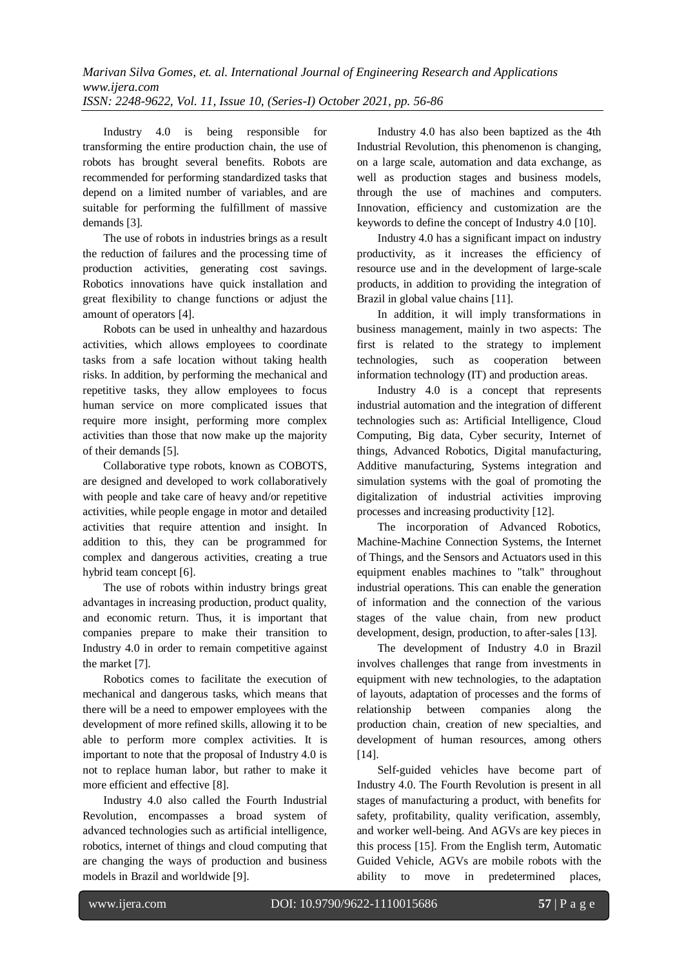Industry 4.0 is being responsible for transforming the entire production chain, the use of robots has brought several benefits. Robots are recommended for performing standardized tasks that depend on a limited number of variables, and are suitable for performing the fulfillment of massive demands [3].

The use of robots in industries brings as a result the reduction of failures and the processing time of production activities, generating cost savings. Robotics innovations have quick installation and great flexibility to change functions or adjust the amount of operators [4].

Robots can be used in unhealthy and hazardous activities, which allows employees to coordinate tasks from a safe location without taking health risks. In addition, by performing the mechanical and repetitive tasks, they allow employees to focus human service on more complicated issues that require more insight, performing more complex activities than those that now make up the majority of their demands [5].

Collaborative type robots, known as COBOTS, are designed and developed to work collaboratively with people and take care of heavy and/or repetitive activities, while people engage in motor and detailed activities that require attention and insight. In addition to this, they can be programmed for complex and dangerous activities, creating a true hybrid team concept [6].

The use of robots within industry brings great advantages in increasing production, product quality, and economic return. Thus, it is important that companies prepare to make their transition to Industry 4.0 in order to remain competitive against the market [7].

Robotics comes to facilitate the execution of mechanical and dangerous tasks, which means that there will be a need to empower employees with the development of more refined skills, allowing it to be able to perform more complex activities. It is important to note that the proposal of Industry 4.0 is not to replace human labor, but rather to make it more efficient and effective [8].

Industry 4.0 also called the Fourth Industrial Revolution, encompasses a broad system of advanced technologies such as artificial intelligence, robotics, internet of things and cloud computing that are changing the ways of production and business models in Brazil and worldwide [9].

Industry 4.0 has also been baptized as the 4th Industrial Revolution, this phenomenon is changing, on a large scale, automation and data exchange, as well as production stages and business models, through the use of machines and computers. Innovation, efficiency and customization are the keywords to define the concept of Industry 4.0 [10].

Industry 4.0 has a significant impact on industry productivity, as it increases the efficiency of resource use and in the development of large-scale products, in addition to providing the integration of Brazil in global value chains [11].

In addition, it will imply transformations in business management, mainly in two aspects: The first is related to the strategy to implement technologies, such as cooperation between information technology (IT) and production areas.

Industry 4.0 is a concept that represents industrial automation and the integration of different technologies such as: Artificial Intelligence, Cloud Computing, Big data, Cyber security, Internet of things, Advanced Robotics, Digital manufacturing, Additive manufacturing, Systems integration and simulation systems with the goal of promoting the digitalization of industrial activities improving processes and increasing productivity [12].

The incorporation of Advanced Robotics, Machine-Machine Connection Systems, the Internet of Things, and the Sensors and Actuators used in this equipment enables machines to "talk" throughout industrial operations. This can enable the generation of information and the connection of the various stages of the value chain, from new product development, design, production, to after-sales [13].

The development of Industry 4.0 in Brazil involves challenges that range from investments in equipment with new technologies, to the adaptation of layouts, adaptation of processes and the forms of relationship between companies along the production chain, creation of new specialties, and development of human resources, among others [14].

Self-guided vehicles have become part of Industry 4.0. The Fourth Revolution is present in all stages of manufacturing a product, with benefits for safety, profitability, quality verification, assembly, and worker well-being. And AGVs are key pieces in this process [15]. From the English term, Automatic Guided Vehicle, AGVs are mobile robots with the ability to move in predetermined places,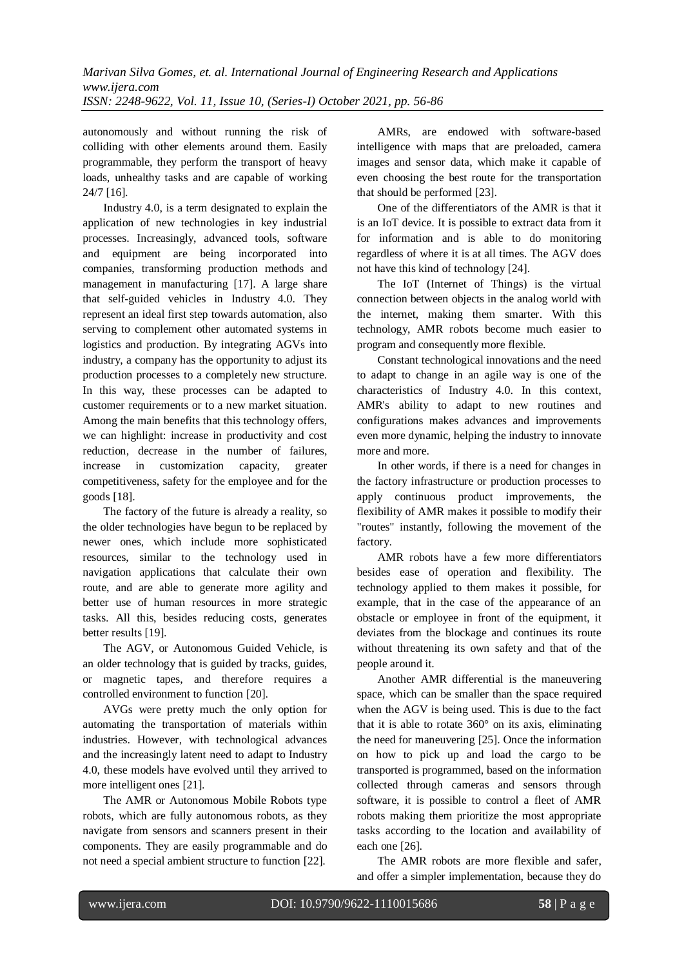autonomously and without running the risk of colliding with other elements around them. Easily programmable, they perform the transport of heavy loads, unhealthy tasks and are capable of working 24/7 [16].

Industry 4.0, is a term designated to explain the application of new technologies in key industrial processes. Increasingly, advanced tools, software and equipment are being incorporated into companies, transforming production methods and management in manufacturing [17]. A large share that self-guided vehicles in Industry 4.0. They represent an ideal first step towards automation, also serving to complement other automated systems in logistics and production. By integrating AGVs into industry, a company has the opportunity to adjust its production processes to a completely new structure. In this way, these processes can be adapted to customer requirements or to a new market situation. Among the main benefits that this technology offers, we can highlight: increase in productivity and cost reduction, decrease in the number of failures, increase in customization capacity, greater competitiveness, safety for the employee and for the goods [18].

The factory of the future is already a reality, so the older technologies have begun to be replaced by newer ones, which include more sophisticated resources, similar to the technology used in navigation applications that calculate their own route, and are able to generate more agility and better use of human resources in more strategic tasks. All this, besides reducing costs, generates better results [19].

The AGV, or Autonomous Guided Vehicle, is an older technology that is guided by tracks, guides, or magnetic tapes, and therefore requires a controlled environment to function [20].

AVGs were pretty much the only option for automating the transportation of materials within industries. However, with technological advances and the increasingly latent need to adapt to Industry 4.0, these models have evolved until they arrived to more intelligent ones [21].

The AMR or Autonomous Mobile Robots type robots, which are fully autonomous robots, as they navigate from sensors and scanners present in their components. They are easily programmable and do not need a special ambient structure to function [22].

AMRs, are endowed with software-based intelligence with maps that are preloaded, camera images and sensor data, which make it capable of even choosing the best route for the transportation that should be performed [23].

One of the differentiators of the AMR is that it is an IoT device. It is possible to extract data from it for information and is able to do monitoring regardless of where it is at all times. The AGV does not have this kind of technology [24].

The IoT (Internet of Things) is the virtual connection between objects in the analog world with the internet, making them smarter. With this technology, AMR robots become much easier to program and consequently more flexible.

Constant technological innovations and the need to adapt to change in an agile way is one of the characteristics of Industry 4.0. In this context, AMR's ability to adapt to new routines and configurations makes advances and improvements even more dynamic, helping the industry to innovate more and more.

In other words, if there is a need for changes in the factory infrastructure or production processes to apply continuous product improvements, the flexibility of AMR makes it possible to modify their "routes" instantly, following the movement of the factory.

AMR robots have a few more differentiators besides ease of operation and flexibility. The technology applied to them makes it possible, for example, that in the case of the appearance of an obstacle or employee in front of the equipment, it deviates from the blockage and continues its route without threatening its own safety and that of the people around it.

Another AMR differential is the maneuvering space, which can be smaller than the space required when the AGV is being used. This is due to the fact that it is able to rotate 360° on its axis, eliminating the need for maneuvering [25]. Once the information on how to pick up and load the cargo to be transported is programmed, based on the information collected through cameras and sensors through software, it is possible to control a fleet of AMR robots making them prioritize the most appropriate tasks according to the location and availability of each one [26].

The AMR robots are more flexible and safer, and offer a simpler implementation, because they do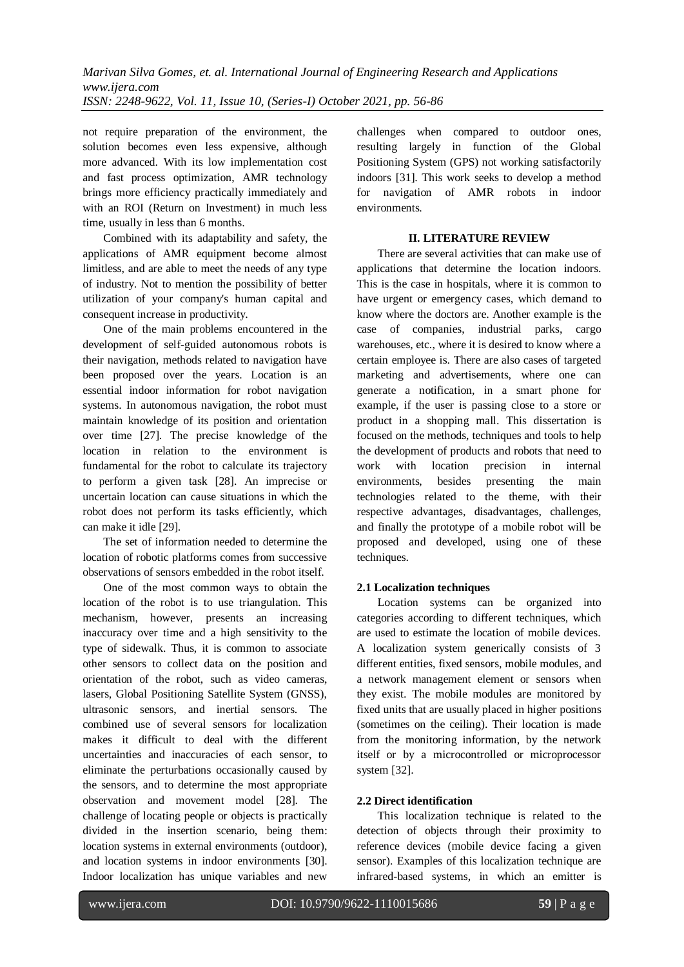not require preparation of the environment, the solution becomes even less expensive, although more advanced. With its low implementation cost and fast process optimization, AMR technology brings more efficiency practically immediately and with an ROI (Return on Investment) in much less time, usually in less than 6 months.

Combined with its adaptability and safety, the applications of AMR equipment become almost limitless, and are able to meet the needs of any type of industry. Not to mention the possibility of better utilization of your company's human capital and consequent increase in productivity.

One of the main problems encountered in the development of self-guided autonomous robots is their navigation, methods related to navigation have been proposed over the years. Location is an essential indoor information for robot navigation systems. In autonomous navigation, the robot must maintain knowledge of its position and orientation over time [27]. The precise knowledge of the location in relation to the environment is fundamental for the robot to calculate its trajectory to perform a given task [28]. An imprecise or uncertain location can cause situations in which the robot does not perform its tasks efficiently, which can make it idle [29].

The set of information needed to determine the location of robotic platforms comes from successive observations of sensors embedded in the robot itself.

One of the most common ways to obtain the location of the robot is to use triangulation. This mechanism, however, presents an increasing inaccuracy over time and a high sensitivity to the type of sidewalk. Thus, it is common to associate other sensors to collect data on the position and orientation of the robot, such as video cameras, lasers, Global Positioning Satellite System (GNSS), ultrasonic sensors, and inertial sensors. The combined use of several sensors for localization makes it difficult to deal with the different uncertainties and inaccuracies of each sensor, to eliminate the perturbations occasionally caused by the sensors, and to determine the most appropriate observation and movement model [28]. The challenge of locating people or objects is practically divided in the insertion scenario, being them: location systems in external environments (outdoor), and location systems in indoor environments [30]. Indoor localization has unique variables and new

challenges when compared to outdoor ones, resulting largely in function of the Global Positioning System (GPS) not working satisfactorily indoors [31]. This work seeks to develop a method for navigation of AMR robots in indoor environments.

## **II. LITERATURE REVIEW**

There are several activities that can make use of applications that determine the location indoors. This is the case in hospitals, where it is common to have urgent or emergency cases, which demand to know where the doctors are. Another example is the case of companies, industrial parks, cargo warehouses, etc., where it is desired to know where a certain employee is. There are also cases of targeted marketing and advertisements, where one can generate a notification, in a smart phone for example, if the user is passing close to a store or product in a shopping mall. This dissertation is focused on the methods, techniques and tools to help the development of products and robots that need to work with location precision in internal environments, besides presenting the main technologies related to the theme, with their respective advantages, disadvantages, challenges, and finally the prototype of a mobile robot will be proposed and developed, using one of these techniques.

# **2.1 Localization techniques**

Location systems can be organized into categories according to different techniques, which are used to estimate the location of mobile devices. A localization system generically consists of 3 different entities, fixed sensors, mobile modules, and a network management element or sensors when they exist. The mobile modules are monitored by fixed units that are usually placed in higher positions (sometimes on the ceiling). Their location is made from the monitoring information, by the network itself or by a microcontrolled or microprocessor system [32].

# **2.2 Direct identification**

This localization technique is related to the detection of objects through their proximity to reference devices (mobile device facing a given sensor). Examples of this localization technique are infrared-based systems, in which an emitter is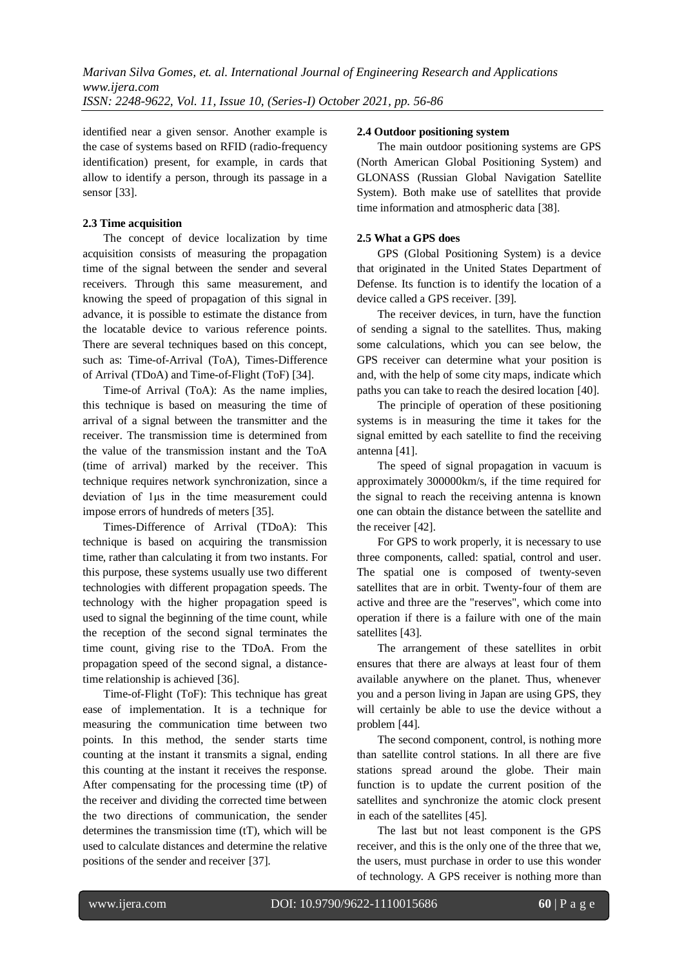identified near a given sensor. Another example is the case of systems based on RFID (radio-frequency identification) present, for example, in cards that allow to identify a person, through its passage in a sensor [33].

# **2.3 Time acquisition**

The concept of device localization by time acquisition consists of measuring the propagation time of the signal between the sender and several receivers. Through this same measurement, and knowing the speed of propagation of this signal in advance, it is possible to estimate the distance from the locatable device to various reference points. There are several techniques based on this concept, such as: Time-of-Arrival (ToA), Times-Difference of Arrival (TDoA) and Time-of-Flight (ToF) [34].

Time-of Arrival (ToA): As the name implies, this technique is based on measuring the time of arrival of a signal between the transmitter and the receiver. The transmission time is determined from the value of the transmission instant and the ToA (time of arrival) marked by the receiver. This technique requires network synchronization, since a deviation of 1μs in the time measurement could impose errors of hundreds of meters [35].

Times-Difference of Arrival (TDoA): This technique is based on acquiring the transmission time, rather than calculating it from two instants. For this purpose, these systems usually use two different technologies with different propagation speeds. The technology with the higher propagation speed is used to signal the beginning of the time count, while the reception of the second signal terminates the time count, giving rise to the TDoA. From the propagation speed of the second signal, a distancetime relationship is achieved [36].

Time-of-Flight (ToF): This technique has great ease of implementation. It is a technique for measuring the communication time between two points. In this method, the sender starts time counting at the instant it transmits a signal, ending this counting at the instant it receives the response. After compensating for the processing time (tP) of the receiver and dividing the corrected time between the two directions of communication, the sender determines the transmission time (tT), which will be used to calculate distances and determine the relative positions of the sender and receiver [37].

## **2.4 Outdoor positioning system**

The main outdoor positioning systems are GPS (North American Global Positioning System) and GLONASS (Russian Global Navigation Satellite System). Both make use of satellites that provide time information and atmospheric data [38].

## **2.5 What a GPS does**

GPS (Global Positioning System) is a device that originated in the United States Department of Defense. Its function is to identify the location of a device called a GPS receiver. [39].

The receiver devices, in turn, have the function of sending a signal to the satellites. Thus, making some calculations, which you can see below, the GPS receiver can determine what your position is and, with the help of some city maps, indicate which paths you can take to reach the desired location [40].

The principle of operation of these positioning systems is in measuring the time it takes for the signal emitted by each satellite to find the receiving antenna [41].

The speed of signal propagation in vacuum is approximately 300000km/s, if the time required for the signal to reach the receiving antenna is known one can obtain the distance between the satellite and the receiver [42].

For GPS to work properly, it is necessary to use three components, called: spatial, control and user. The spatial one is composed of twenty-seven satellites that are in orbit. Twenty-four of them are active and three are the "reserves", which come into operation if there is a failure with one of the main satellites [43].

The arrangement of these satellites in orbit ensures that there are always at least four of them available anywhere on the planet. Thus, whenever you and a person living in Japan are using GPS, they will certainly be able to use the device without a problem [44].

The second component, control, is nothing more than satellite control stations. In all there are five stations spread around the globe. Their main function is to update the current position of the satellites and synchronize the atomic clock present in each of the satellites [45].

The last but not least component is the GPS receiver, and this is the only one of the three that we, the users, must purchase in order to use this wonder of technology. A GPS receiver is nothing more than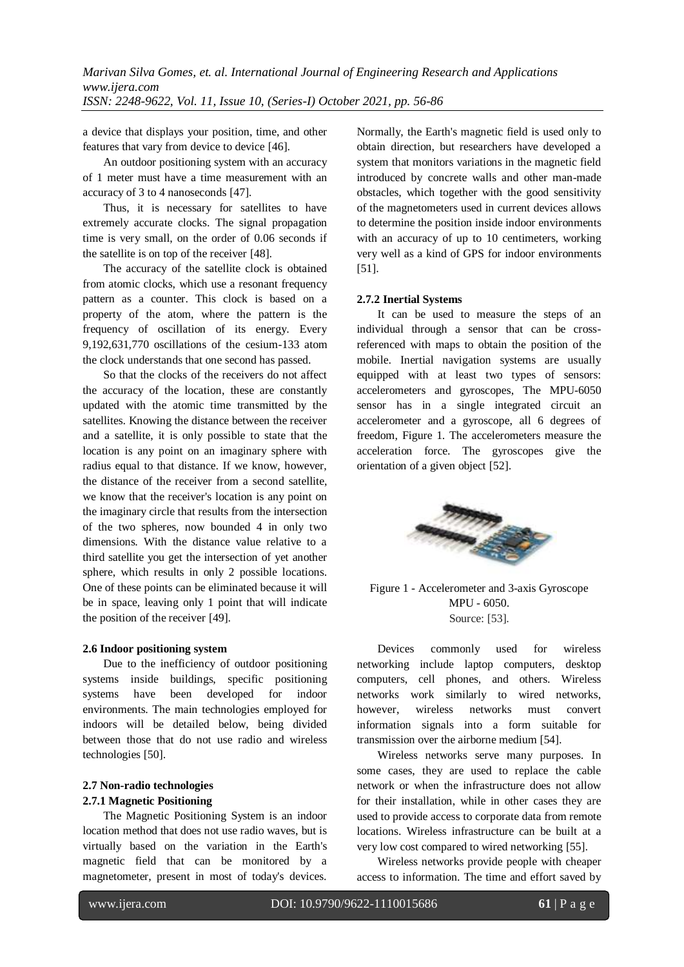a device that displays your position, time, and other features that vary from device to device [46].

An outdoor positioning system with an accuracy of 1 meter must have a time measurement with an accuracy of 3 to 4 nanoseconds [47].

Thus, it is necessary for satellites to have extremely accurate clocks. The signal propagation time is very small, on the order of 0.06 seconds if the satellite is on top of the receiver [48].

The accuracy of the satellite clock is obtained from atomic clocks, which use a resonant frequency pattern as a counter. This clock is based on a property of the atom, where the pattern is the frequency of oscillation of its energy. Every 9,192,631,770 oscillations of the cesium-133 atom the clock understands that one second has passed.

So that the clocks of the receivers do not affect the accuracy of the location, these are constantly updated with the atomic time transmitted by the satellites. Knowing the distance between the receiver and a satellite, it is only possible to state that the location is any point on an imaginary sphere with radius equal to that distance. If we know, however, the distance of the receiver from a second satellite, we know that the receiver's location is any point on the imaginary circle that results from the intersection of the two spheres, now bounded 4 in only two dimensions. With the distance value relative to a third satellite you get the intersection of yet another sphere, which results in only 2 possible locations. One of these points can be eliminated because it will be in space, leaving only 1 point that will indicate the position of the receiver [49].

## **2.6 Indoor positioning system**

Due to the inefficiency of outdoor positioning systems inside buildings, specific positioning systems have been developed for indoor environments. The main technologies employed for indoors will be detailed below, being divided between those that do not use radio and wireless technologies [50].

# **2.7 Non-radio technologies 2.7.1 Magnetic Positioning**

The Magnetic Positioning System is an indoor location method that does not use radio waves, but is virtually based on the variation in the Earth's magnetic field that can be monitored by a magnetometer, present in most of today's devices. Normally, the Earth's magnetic field is used only to obtain direction, but researchers have developed a system that monitors variations in the magnetic field introduced by concrete walls and other man-made obstacles, which together with the good sensitivity of the magnetometers used in current devices allows to determine the position inside indoor environments with an accuracy of up to 10 centimeters, working very well as a kind of GPS for indoor environments [51].

## **2.7.2 Inertial Systems**

It can be used to measure the steps of an individual through a sensor that can be crossreferenced with maps to obtain the position of the mobile. Inertial navigation systems are usually equipped with at least two types of sensors: accelerometers and gyroscopes, The MPU-6050 sensor has in a single integrated circuit an accelerometer and a gyroscope, all 6 degrees of freedom, Figure 1. The accelerometers measure the acceleration force. The gyroscopes give the orientation of a given object [52].



Figure 1 - Accelerometer and 3-axis Gyroscope MPU - 6050. Source: [53].

Devices commonly used for wireless networking include laptop computers, desktop computers, cell phones, and others. Wireless networks work similarly to wired networks, however, wireless networks must convert information signals into a form suitable for transmission over the airborne medium [54].

Wireless networks serve many purposes. In some cases, they are used to replace the cable network or when the infrastructure does not allow for their installation, while in other cases they are used to provide access to corporate data from remote locations. Wireless infrastructure can be built at a very low cost compared to wired networking [55].

Wireless networks provide people with cheaper access to information. The time and effort saved by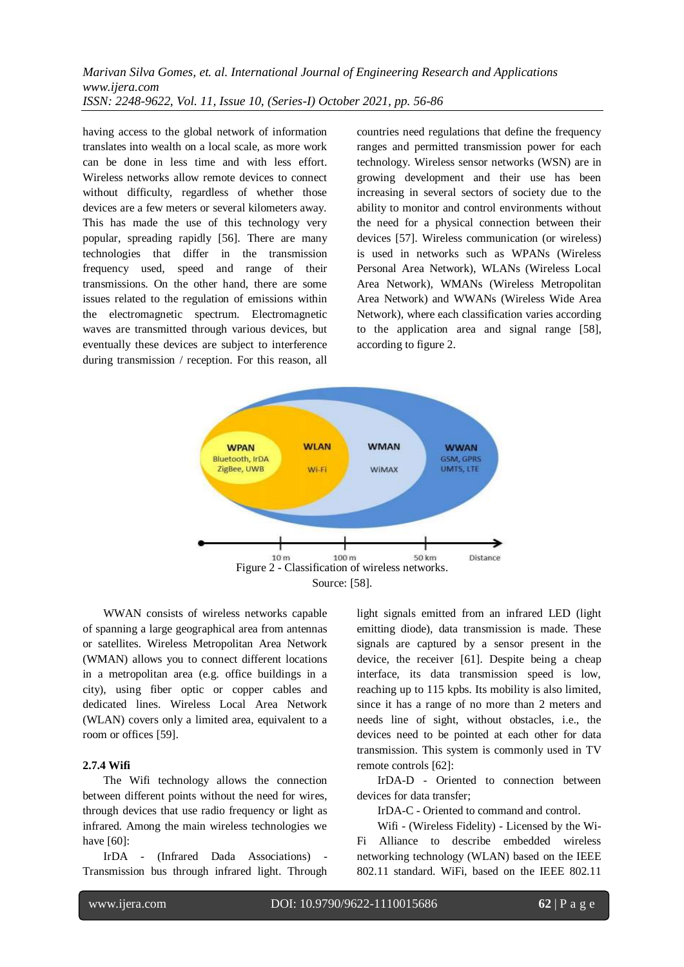having access to the global network of information translates into wealth on a local scale, as more work can be done in less time and with less effort. Wireless networks allow remote devices to connect without difficulty, regardless of whether those devices are a few meters or several kilometers away. This has made the use of this technology very popular, spreading rapidly [56]. There are many technologies that differ in the transmission frequency used, speed and range of their transmissions. On the other hand, there are some issues related to the regulation of emissions within the electromagnetic spectrum. Electromagnetic waves are transmitted through various devices, but eventually these devices are subject to interference during transmission / reception. For this reason, all

countries need regulations that define the frequency ranges and permitted transmission power for each technology. Wireless sensor networks (WSN) are in growing development and their use has been increasing in several sectors of society due to the ability to monitor and control environments without the need for a physical connection between their devices [57]. Wireless communication (or wireless) is used in networks such as WPANs (Wireless Personal Area Network), WLANs (Wireless Local Area Network), WMANs (Wireless Metropolitan Area Network) and WWANs (Wireless Wide Area Network), where each classification varies according to the application area and signal range [58], according to figure 2.



WWAN consists of wireless networks capable of spanning a large geographical area from antennas or satellites. Wireless Metropolitan Area Network (WMAN) allows you to connect different locations in a metropolitan area (e.g. office buildings in a city), using fiber optic or copper cables and dedicated lines. Wireless Local Area Network (WLAN) covers only a limited area, equivalent to a room or offices [59].

#### **2.7.4 Wifi**

The Wifi technology allows the connection between different points without the need for wires, through devices that use radio frequency or light as infrared. Among the main wireless technologies we have [60]:

IrDA - (Infrared Dada Associations) - Transmission bus through infrared light. Through light signals emitted from an infrared LED (light emitting diode), data transmission is made. These signals are captured by a sensor present in the device, the receiver [61]. Despite being a cheap interface, its data transmission speed is low, reaching up to 115 kpbs. Its mobility is also limited, since it has a range of no more than 2 meters and needs line of sight, without obstacles, i.e., the devices need to be pointed at each other for data transmission. This system is commonly used in TV remote controls [62]:

IrDA-D - Oriented to connection between devices for data transfer;

IrDA-C - Oriented to command and control.

Wifi - (Wireless Fidelity) - Licensed by the Wi-Fi Alliance to describe embedded wireless networking technology (WLAN) based on the IEEE 802.11 standard. WiFi, based on the IEEE 802.11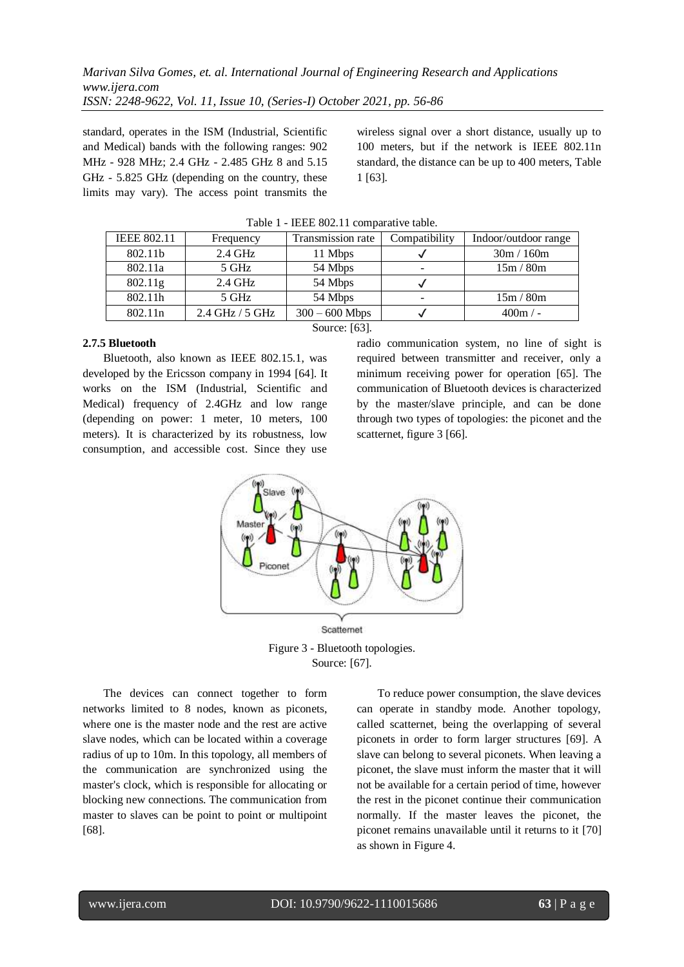standard, operates in the ISM (Industrial, Scientific and Medical) bands with the following ranges: 902 MHz - 928 MHz; 2.4 GHz - 2.485 GHz 8 and 5.15 GHz - 5.825 GHz (depending on the country, these limits may vary). The access point transmits the

wireless signal over a short distance, usually up to 100 meters, but if the network is IEEE 802.11n standard, the distance can be up to 400 meters, Table 1 [63].

| <b>IEEE 802.11</b>  | Frequency         | Transmission rate | Compatibility | Indoor/outdoor range |
|---------------------|-------------------|-------------------|---------------|----------------------|
| 802.11b             | $2.4 \text{ GHz}$ | 11 Mbps           |               | 30m / 160m           |
| 802.11a             | 5 GHz             | 54 Mbps           |               | 15m/80m              |
| 802.11g             | $2.4 \text{ GHz}$ | 54 Mbps           |               |                      |
| 802.11h             | 5 GHz             | 54 Mbps           |               | 15m/80m              |
| 802.11 <sub>n</sub> | 2.4 GHz / 5 GHz   | $300 - 600$ Mbps  |               | $400m / -$           |
| Source: [63].       |                   |                   |               |                      |

Table 1 - IEEE 802.11 comparative table.

## **2.7.5 Bluetooth**

Bluetooth, also known as IEEE 802.15.1, was developed by the Ericsson company in 1994 [64]. It works on the ISM (Industrial, Scientific and Medical) frequency of 2.4GHz and low range (depending on power: 1 meter, 10 meters, 100 meters). It is characterized by its robustness, low consumption, and accessible cost. Since they use

radio communication system, no line of sight is required between transmitter and receiver, only a minimum receiving power for operation [65]. The communication of Bluetooth devices is characterized by the master/slave principle, and can be done through two types of topologies: the piconet and the scatternet, figure 3 [66].



Figure 3 - Bluetooth topologies. Source: [67].

The devices can connect together to form networks limited to 8 nodes, known as piconets, where one is the master node and the rest are active slave nodes, which can be located within a coverage radius of up to 10m. In this topology, all members of the communication are synchronized using the master's clock, which is responsible for allocating or blocking new connections. The communication from master to slaves can be point to point or multipoint [68].

To reduce power consumption, the slave devices can operate in standby mode. Another topology, called scatternet, being the overlapping of several piconets in order to form larger structures [69]. A slave can belong to several piconets. When leaving a piconet, the slave must inform the master that it will not be available for a certain period of time, however the rest in the piconet continue their communication normally. If the master leaves the piconet, the piconet remains unavailable until it returns to it [70] as shown in Figure 4.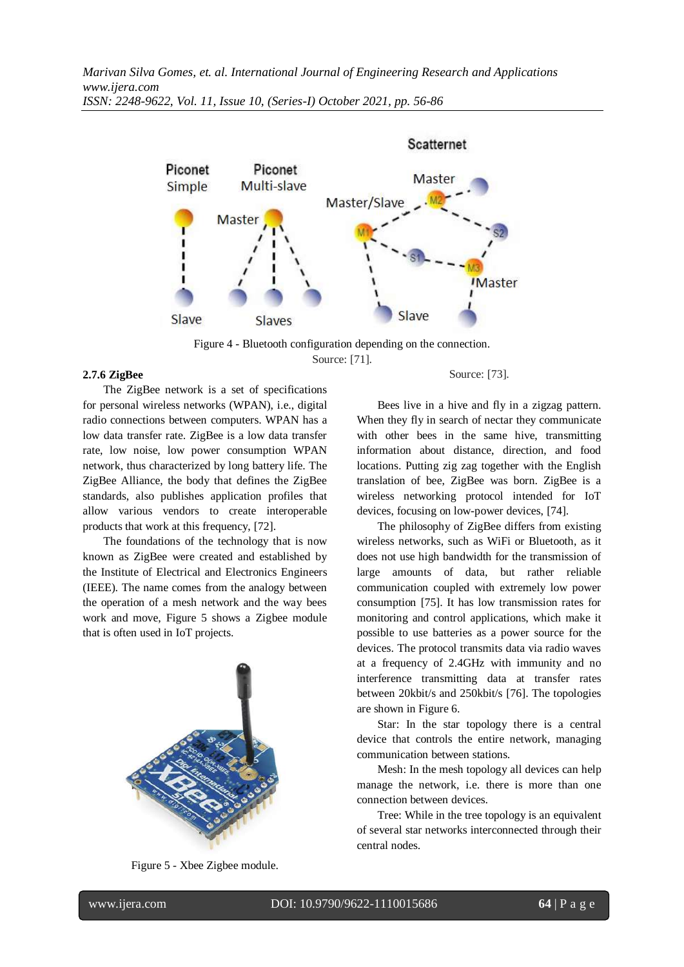

Figure 4 - Bluetooth configuration depending on the connection. Source: [71].

## **2.7.6 ZigBee**

The ZigBee network is a set of specifications for personal wireless networks (WPAN), i.e., digital radio connections between computers. WPAN has a low data transfer rate. ZigBee is a low data transfer rate, low noise, low power consumption WPAN network, thus characterized by long battery life. The ZigBee Alliance, the body that defines the ZigBee standards, also publishes application profiles that allow various vendors to create interoperable products that work at this frequency, [72].

The foundations of the technology that is now known as ZigBee were created and established by the Institute of Electrical and Electronics Engineers (IEEE). The name comes from the analogy between the operation of a mesh network and the way bees work and move, Figure 5 shows a Zigbee module that is often used in IoT projects.



Figure 5 - Xbee Zigbee module.

#### Source: [73].

Bees live in a hive and fly in a zigzag pattern. When they fly in search of nectar they communicate with other bees in the same hive, transmitting information about distance, direction, and food locations. Putting zig zag together with the English translation of bee, ZigBee was born. ZigBee is a wireless networking protocol intended for IoT devices, focusing on low-power devices, [74].

The philosophy of ZigBee differs from existing wireless networks, such as WiFi or Bluetooth, as it does not use high bandwidth for the transmission of large amounts of data, but rather reliable communication coupled with extremely low power consumption [75]. It has low transmission rates for monitoring and control applications, which make it possible to use batteries as a power source for the devices. The protocol transmits data via radio waves at a frequency of 2.4GHz with immunity and no interference transmitting data at transfer rates between 20kbit/s and 250kbit/s [76]. The topologies are shown in Figure 6.

Star: In the star topology there is a central device that controls the entire network, managing communication between stations.

Mesh: In the mesh topology all devices can help manage the network, i.e. there is more than one connection between devices.

Tree: While in the tree topology is an equivalent of several star networks interconnected through their central nodes.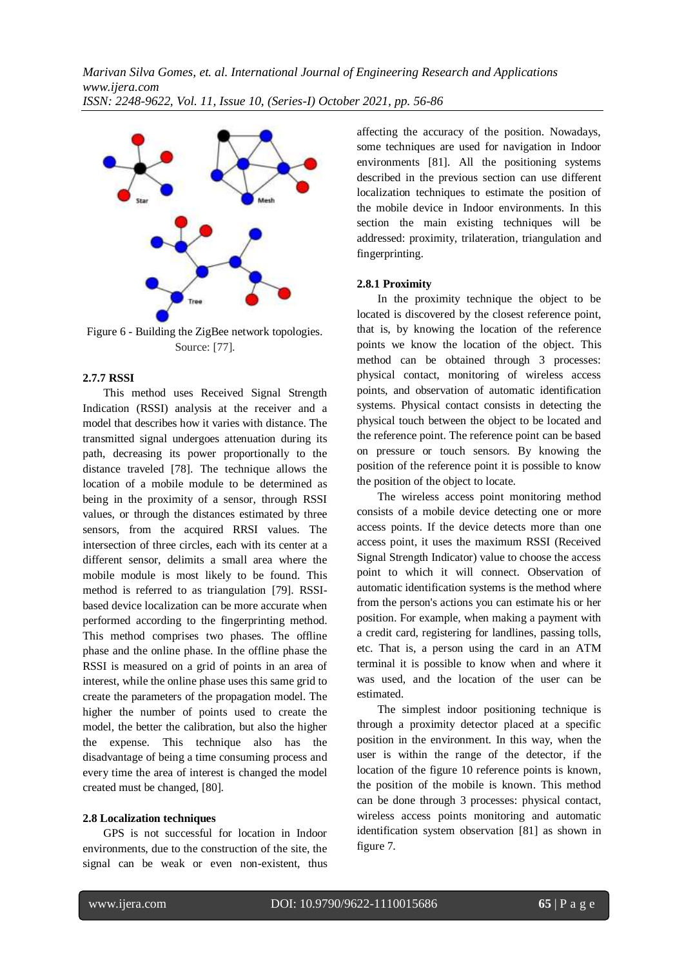

Figure 6 - Building the ZigBee network topologies. Source: [77].

## **2.7.7 RSSI**

This method uses Received Signal Strength Indication (RSSI) analysis at the receiver and a model that describes how it varies with distance. The transmitted signal undergoes attenuation during its path, decreasing its power proportionally to the distance traveled [78]. The technique allows the location of a mobile module to be determined as being in the proximity of a sensor, through RSSI values, or through the distances estimated by three sensors, from the acquired RRSI values. The intersection of three circles, each with its center at a different sensor, delimits a small area where the mobile module is most likely to be found. This method is referred to as triangulation [79]. RSSIbased device localization can be more accurate when performed according to the fingerprinting method. This method comprises two phases. The offline phase and the online phase. In the offline phase the RSSI is measured on a grid of points in an area of interest, while the online phase uses this same grid to create the parameters of the propagation model. The higher the number of points used to create the model, the better the calibration, but also the higher the expense. This technique also has the disadvantage of being a time consuming process and every time the area of interest is changed the model created must be changed, [80].

## **2.8 Localization techniques**

GPS is not successful for location in Indoor environments, due to the construction of the site, the signal can be weak or even non-existent, thus affecting the accuracy of the position. Nowadays, some techniques are used for navigation in Indoor environments [81]. All the positioning systems described in the previous section can use different localization techniques to estimate the position of the mobile device in Indoor environments. In this section the main existing techniques will be addressed: proximity, trilateration, triangulation and fingerprinting.

# **2.8.1 Proximity**

In the proximity technique the object to be located is discovered by the closest reference point, that is, by knowing the location of the reference points we know the location of the object. This method can be obtained through 3 processes: physical contact, monitoring of wireless access points, and observation of automatic identification systems. Physical contact consists in detecting the physical touch between the object to be located and the reference point. The reference point can be based on pressure or touch sensors. By knowing the position of the reference point it is possible to know the position of the object to locate.

The wireless access point monitoring method consists of a mobile device detecting one or more access points. If the device detects more than one access point, it uses the maximum RSSI (Received Signal Strength Indicator) value to choose the access point to which it will connect. Observation of automatic identification systems is the method where from the person's actions you can estimate his or her position. For example, when making a payment with a credit card, registering for landlines, passing tolls, etc. That is, a person using the card in an ATM terminal it is possible to know when and where it was used, and the location of the user can be estimated.

The simplest indoor positioning technique is through a proximity detector placed at a specific position in the environment. In this way, when the user is within the range of the detector, if the location of the figure 10 reference points is known, the position of the mobile is known. This method can be done through 3 processes: physical contact, wireless access points monitoring and automatic identification system observation [81] as shown in figure 7.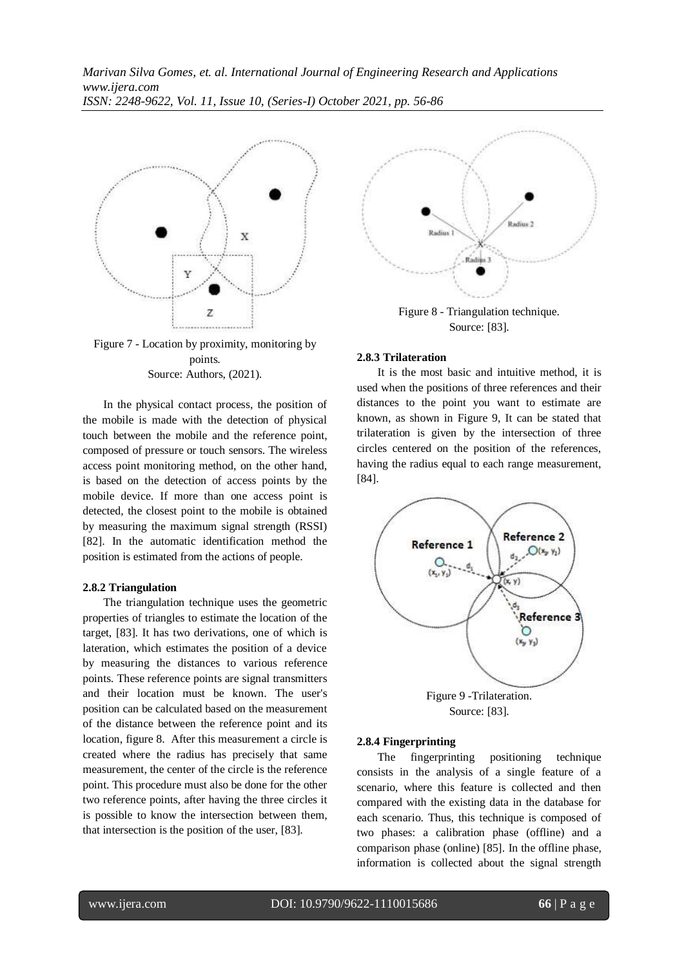

Figure 7 - Location by proximity, monitoring by points. Source: Authors, (2021).

In the physical contact process, the position of the mobile is made with the detection of physical touch between the mobile and the reference point, composed of pressure or touch sensors. The wireless access point monitoring method, on the other hand, is based on the detection of access points by the mobile device. If more than one access point is detected, the closest point to the mobile is obtained by measuring the maximum signal strength (RSSI) [82]. In the automatic identification method the position is estimated from the actions of people.

#### **2.8.2 Triangulation**

The triangulation technique uses the geometric properties of triangles to estimate the location of the target, [83]. It has two derivations, one of which is lateration, which estimates the position of a device by measuring the distances to various reference points. These reference points are signal transmitters and their location must be known. The user's position can be calculated based on the measurement of the distance between the reference point and its location, figure 8. After this measurement a circle is created where the radius has precisely that same measurement, the center of the circle is the reference point. This procedure must also be done for the other two reference points, after having the three circles it is possible to know the intersection between them, that intersection is the position of the user, [83].



Source: [83].

#### **2.8.3 Trilateration**

It is the most basic and intuitive method, it is used when the positions of three references and their distances to the point you want to estimate are known, as shown in Figure 9, It can be stated that trilateration is given by the intersection of three circles centered on the position of the references, having the radius equal to each range measurement, [84].



Source: [83].

#### **2.8.4 Fingerprinting**

The fingerprinting positioning technique consists in the analysis of a single feature of a scenario, where this feature is collected and then compared with the existing data in the database for each scenario. Thus, this technique is composed of two phases: a calibration phase (offline) and a comparison phase (online) [85]. In the offline phase, information is collected about the signal strength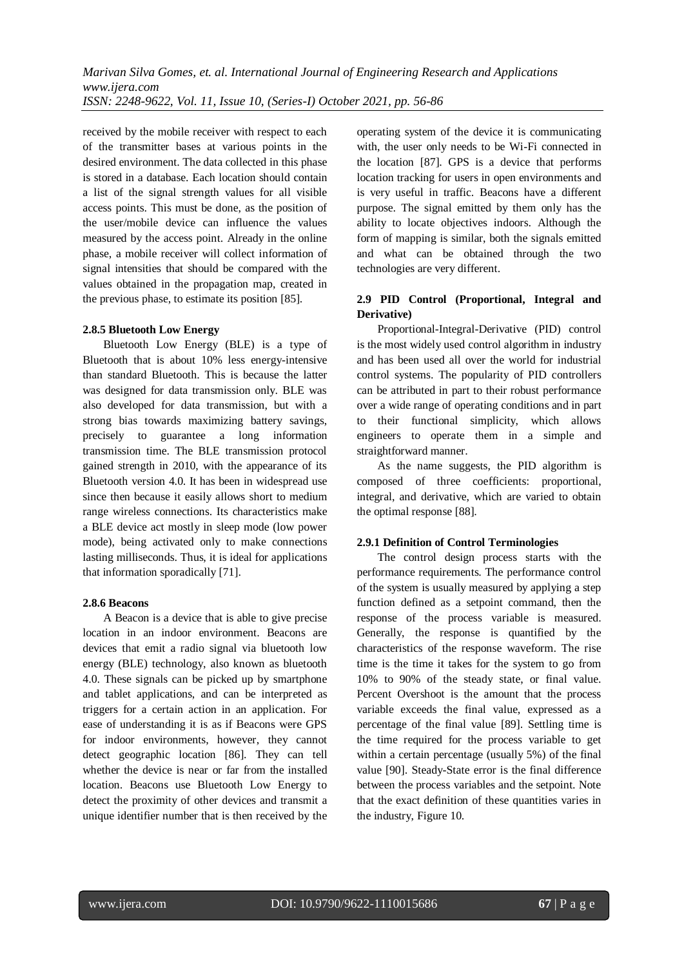received by the mobile receiver with respect to each of the transmitter bases at various points in the desired environment. The data collected in this phase is stored in a database. Each location should contain a list of the signal strength values for all visible access points. This must be done, as the position of the user/mobile device can influence the values measured by the access point. Already in the online phase, a mobile receiver will collect information of signal intensities that should be compared with the values obtained in the propagation map, created in the previous phase, to estimate its position [85].

#### **2.8.5 Bluetooth Low Energy**

Bluetooth Low Energy (BLE) is a type of Bluetooth that is about 10% less energy-intensive than standard Bluetooth. This is because the latter was designed for data transmission only. BLE was also developed for data transmission, but with a strong bias towards maximizing battery savings, precisely to guarantee a long information transmission time. The BLE transmission protocol gained strength in 2010, with the appearance of its Bluetooth version 4.0. It has been in widespread use since then because it easily allows short to medium range wireless connections. Its characteristics make a BLE device act mostly in sleep mode (low power mode), being activated only to make connections lasting milliseconds. Thus, it is ideal for applications that information sporadically [71].

#### **2.8.6 Beacons**

A Beacon is a device that is able to give precise location in an indoor environment. Beacons are devices that emit a radio signal via bluetooth low energy (BLE) technology, also known as bluetooth 4.0. These signals can be picked up by smartphone and tablet applications, and can be interpreted as triggers for a certain action in an application. For ease of understanding it is as if Beacons were GPS for indoor environments, however, they cannot detect geographic location [86]. They can tell whether the device is near or far from the installed location. Beacons use Bluetooth Low Energy to detect the proximity of other devices and transmit a unique identifier number that is then received by the

operating system of the device it is communicating with, the user only needs to be Wi-Fi connected in the location [87]. GPS is a device that performs location tracking for users in open environments and is very useful in traffic. Beacons have a different purpose. The signal emitted by them only has the ability to locate objectives indoors. Although the form of mapping is similar, both the signals emitted and what can be obtained through the two technologies are very different.

## **2.9 PID Control (Proportional, Integral and Derivative)**

Proportional-Integral-Derivative (PID) control is the most widely used control algorithm in industry and has been used all over the world for industrial control systems. The popularity of PID controllers can be attributed in part to their robust performance over a wide range of operating conditions and in part to their functional simplicity, which allows engineers to operate them in a simple and straightforward manner.

As the name suggests, the PID algorithm is composed of three coefficients: proportional, integral, and derivative, which are varied to obtain the optimal response [88].

#### **2.9.1 Definition of Control Terminologies**

The control design process starts with the performance requirements. The performance control of the system is usually measured by applying a step function defined as a setpoint command, then the response of the process variable is measured. Generally, the response is quantified by the characteristics of the response waveform. The rise time is the time it takes for the system to go from 10% to 90% of the steady state, or final value. Percent Overshoot is the amount that the process variable exceeds the final value, expressed as a percentage of the final value [89]. Settling time is the time required for the process variable to get within a certain percentage (usually 5%) of the final value [90]. Steady-State error is the final difference between the process variables and the setpoint. Note that the exact definition of these quantities varies in the industry, Figure 10.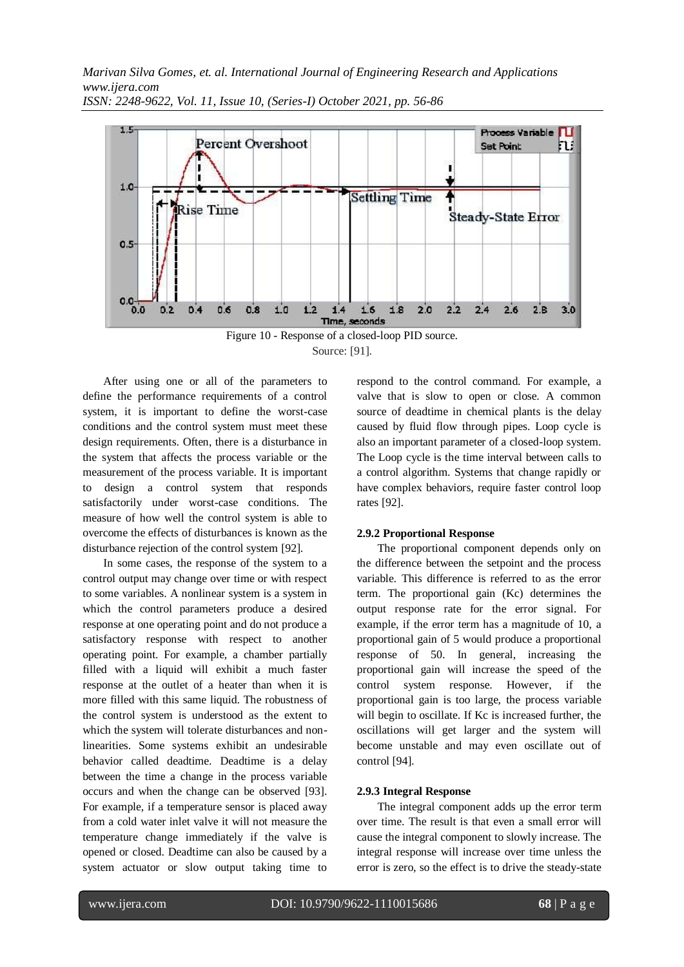

Source: [91].

After using one or all of the parameters to define the performance requirements of a control system, it is important to define the worst-case conditions and the control system must meet these design requirements. Often, there is a disturbance in the system that affects the process variable or the measurement of the process variable. It is important to design a control system that responds satisfactorily under worst-case conditions. The measure of how well the control system is able to overcome the effects of disturbances is known as the disturbance rejection of the control system [92].

In some cases, the response of the system to a control output may change over time or with respect to some variables. A nonlinear system is a system in which the control parameters produce a desired response at one operating point and do not produce a satisfactory response with respect to another operating point. For example, a chamber partially filled with a liquid will exhibit a much faster response at the outlet of a heater than when it is more filled with this same liquid. The robustness of the control system is understood as the extent to which the system will tolerate disturbances and nonlinearities. Some systems exhibit an undesirable behavior called deadtime. Deadtime is a delay between the time a change in the process variable occurs and when the change can be observed [93]. For example, if a temperature sensor is placed away from a cold water inlet valve it will not measure the temperature change immediately if the valve is opened or closed. Deadtime can also be caused by a system actuator or slow output taking time to

respond to the control command. For example, a valve that is slow to open or close. A common source of deadtime in chemical plants is the delay caused by fluid flow through pipes. Loop cycle is also an important parameter of a closed-loop system. The Loop cycle is the time interval between calls to a control algorithm. Systems that change rapidly or have complex behaviors, require faster control loop rates [92].

## **2.9.2 Proportional Response**

The proportional component depends only on the difference between the setpoint and the process variable. This difference is referred to as the error term. The proportional gain (Kc) determines the output response rate for the error signal. For example, if the error term has a magnitude of 10, a proportional gain of 5 would produce a proportional response of 50. In general, increasing the proportional gain will increase the speed of the control system response. However, if the proportional gain is too large, the process variable will begin to oscillate. If Kc is increased further, the oscillations will get larger and the system will become unstable and may even oscillate out of control [94].

## **2.9.3 Integral Response**

The integral component adds up the error term over time. The result is that even a small error will cause the integral component to slowly increase. The integral response will increase over time unless the error is zero, so the effect is to drive the steady-state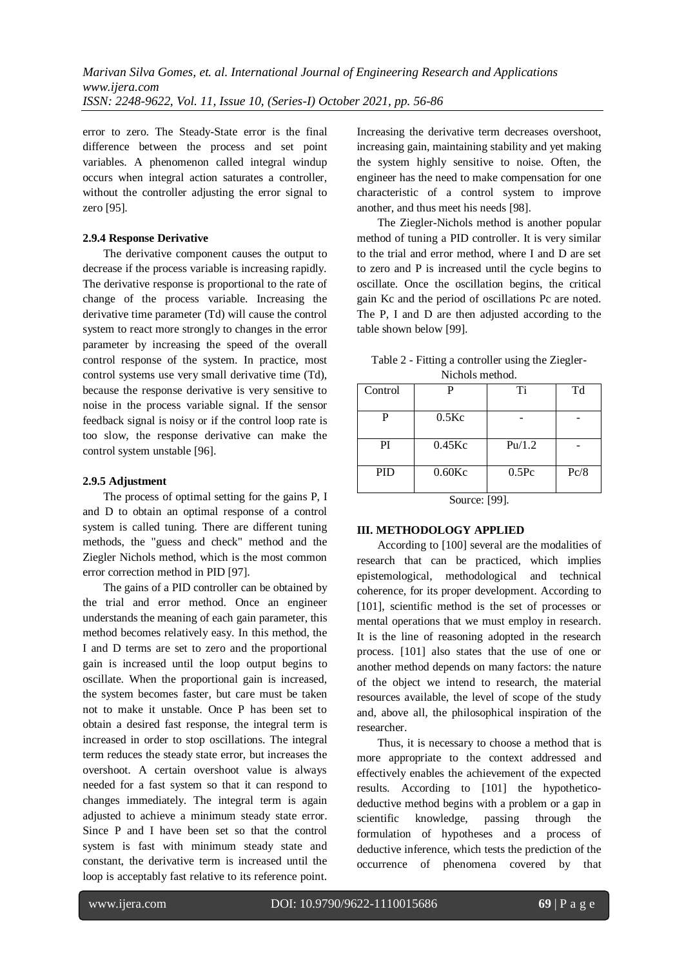error to zero. The Steady-State error is the final difference between the process and set point variables. A phenomenon called integral windup occurs when integral action saturates a controller, without the controller adjusting the error signal to zero [95].

## **2.9.4 Response Derivative**

The derivative component causes the output to decrease if the process variable is increasing rapidly. The derivative response is proportional to the rate of change of the process variable. Increasing the derivative time parameter (Td) will cause the control system to react more strongly to changes in the error parameter by increasing the speed of the overall control response of the system. In practice, most control systems use very small derivative time (Td), because the response derivative is very sensitive to noise in the process variable signal. If the sensor feedback signal is noisy or if the control loop rate is too slow, the response derivative can make the control system unstable [96].

## **2.9.5 Adjustment**

The process of optimal setting for the gains P, I and D to obtain an optimal response of a control system is called tuning. There are different tuning methods, the "guess and check" method and the Ziegler Nichols method, which is the most common error correction method in PID [97].

The gains of a PID controller can be obtained by the trial and error method. Once an engineer understands the meaning of each gain parameter, this method becomes relatively easy. In this method, the I and D terms are set to zero and the proportional gain is increased until the loop output begins to oscillate. When the proportional gain is increased, the system becomes faster, but care must be taken not to make it unstable. Once P has been set to obtain a desired fast response, the integral term is increased in order to stop oscillations. The integral term reduces the steady state error, but increases the overshoot. A certain overshoot value is always needed for a fast system so that it can respond to changes immediately. The integral term is again adjusted to achieve a minimum steady state error. Since P and I have been set so that the control system is fast with minimum steady state and constant, the derivative term is increased until the loop is acceptably fast relative to its reference point.

Increasing the derivative term decreases overshoot, increasing gain, maintaining stability and yet making the system highly sensitive to noise. Often, the engineer has the need to make compensation for one characteristic of a control system to improve another, and thus meet his needs [98].

The Ziegler-Nichols method is another popular method of tuning a PID controller. It is very similar to the trial and error method, where I and D are set to zero and P is increased until the cycle begins to oscillate. Once the oscillation begins, the critical gain Kc and the period of oscillations Pc are noted. The P, I and D are then adjusted according to the table shown below [99].

| Table 2 - Fitting a controller using the Ziegler- |  |
|---------------------------------------------------|--|
| Nichols method.                                   |  |

| Control    |               | Ti                | Td   |
|------------|---------------|-------------------|------|
| P          | $0.5$ Kc      |                   |      |
| PI         | $0.45$ Kc     | Pu/1.2            |      |
| <b>PID</b> | $0.60$ Kc     | 0.5 <sub>pc</sub> | Pc/8 |
|            | $\sim$ $\sim$ | <b>EQQ1</b>       |      |

Source: [99].

# **III. METHODOLOGY APPLIED**

According to [100] several are the modalities of research that can be practiced, which implies epistemological, methodological and technical coherence, for its proper development. According to [101], scientific method is the set of processes or mental operations that we must employ in research. It is the line of reasoning adopted in the research process. [101] also states that the use of one or another method depends on many factors: the nature of the object we intend to research, the material resources available, the level of scope of the study and, above all, the philosophical inspiration of the researcher.

Thus, it is necessary to choose a method that is more appropriate to the context addressed and effectively enables the achievement of the expected results. According to [101] the hypotheticodeductive method begins with a problem or a gap in scientific knowledge, passing through the formulation of hypotheses and a process of deductive inference, which tests the prediction of the occurrence of phenomena covered by that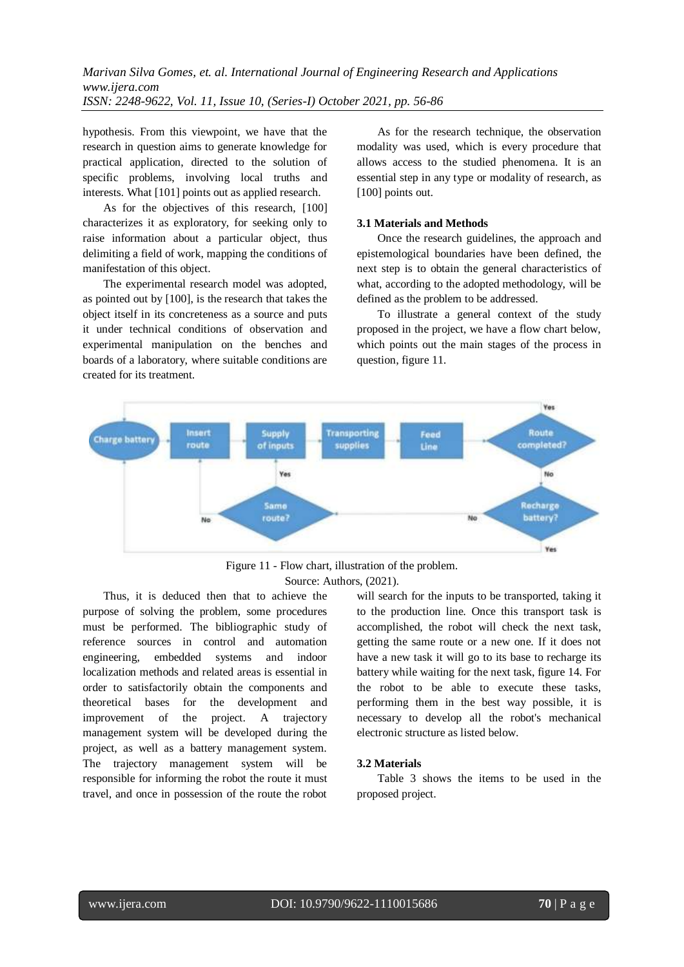hypothesis. From this viewpoint, we have that the research in question aims to generate knowledge for practical application, directed to the solution of specific problems, involving local truths and interests. What [101] points out as applied research.

As for the objectives of this research, [100] characterizes it as exploratory, for seeking only to raise information about a particular object, thus delimiting a field of work, mapping the conditions of manifestation of this object.

The experimental research model was adopted, as pointed out by [100], is the research that takes the object itself in its concreteness as a source and puts it under technical conditions of observation and experimental manipulation on the benches and boards of a laboratory, where suitable conditions are created for its treatment.

As for the research technique, the observation modality was used, which is every procedure that allows access to the studied phenomena. It is an essential step in any type or modality of research, as [100] points out.

#### **3.1 Materials and Methods**

Once the research guidelines, the approach and epistemological boundaries have been defined, the next step is to obtain the general characteristics of what, according to the adopted methodology, will be defined as the problem to be addressed.

To illustrate a general context of the study proposed in the project, we have a flow chart below, which points out the main stages of the process in question, figure 11.



Figure 11 - Flow chart, illustration of the problem. Source: Authors, (2021).

Thus, it is deduced then that to achieve the purpose of solving the problem, some procedures must be performed. The bibliographic study of reference sources in control and automation engineering, embedded systems and indoor localization methods and related areas is essential in order to satisfactorily obtain the components and theoretical bases for the development and improvement of the project. A trajectory management system will be developed during the project, as well as a battery management system. The trajectory management system will be responsible for informing the robot the route it must travel, and once in possession of the route the robot

will search for the inputs to be transported, taking it to the production line. Once this transport task is accomplished, the robot will check the next task, getting the same route or a new one. If it does not have a new task it will go to its base to recharge its battery while waiting for the next task, figure 14. For the robot to be able to execute these tasks, performing them in the best way possible, it is necessary to develop all the robot's mechanical electronic structure as listed below.

#### **3.2 Materials**

Table 3 shows the items to be used in the proposed project.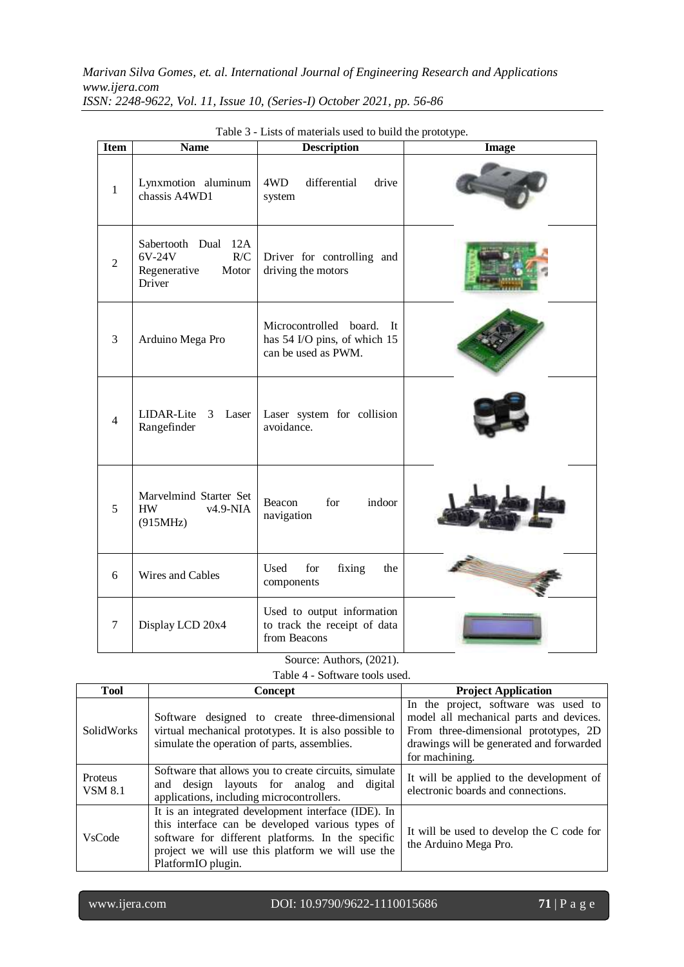| <b>Item</b>    | <b>Name</b>                                                             | <b>Description</b>                                                                    | <b>Image</b> |
|----------------|-------------------------------------------------------------------------|---------------------------------------------------------------------------------------|--------------|
| $\mathbf{1}$   | Lynxmotion aluminum<br>chassis A4WD1                                    | 4WD<br>differential<br>drive<br>system                                                |              |
| $\overline{2}$ | Sabertooth Dual 12A<br>6V-24V<br>R/C<br>Motor<br>Regenerative<br>Driver | Driver for controlling and<br>driving the motors                                      |              |
| 3              | Arduino Mega Pro                                                        | Microcontrolled board.<br>- It<br>has 54 I/O pins, of which 15<br>can be used as PWM. |              |
| $\overline{4}$ | LIDAR-Lite<br>3<br>Laser<br>Rangefinder                                 | Laser system for collision<br>avoidance.                                              |              |
| 5              | Marvelmind Starter Set<br>$v4.9-NIA$<br><b>HW</b><br>(915MHz)           | for<br>indoor<br>Beacon<br>navigation                                                 |              |
| 6              | Wires and Cables                                                        | for<br>Used<br>fixing<br>the<br>components                                            |              |
| 7              | Display LCD 20x4                                                        | Used to output information<br>to track the receipt of data<br>from Beacons            |              |

Table 3 - Lists of materials used to build the prototype.

Source: Authors, (2021). Table 4 - Software tools used.

| <b>Tool</b>               | <b>Concept</b>                                                                                                                                                                                                                          | <b>Project Application</b>                                                                                                                                                             |  |
|---------------------------|-----------------------------------------------------------------------------------------------------------------------------------------------------------------------------------------------------------------------------------------|----------------------------------------------------------------------------------------------------------------------------------------------------------------------------------------|--|
| SolidWorks                | Software designed to create three-dimensional<br>virtual mechanical prototypes. It is also possible to<br>simulate the operation of parts, assemblies.                                                                                  | In the project, software was used to<br>model all mechanical parts and devices.<br>From three-dimensional prototypes, 2D<br>drawings will be generated and forwarded<br>for machining. |  |
| Proteus<br><b>VSM 8.1</b> | Software that allows you to create circuits, simulate<br>and design layouts for analog and digital<br>applications, including microcontrollers.                                                                                         | It will be applied to the development of<br>electronic boards and connections.                                                                                                         |  |
| <b>VsCode</b>             | It is an integrated development interface (IDE). In<br>this interface can be developed various types of<br>software for different platforms. In the specific<br>project we will use this platform we will use the<br>PlatformIO plugin. | It will be used to develop the C code for<br>the Arduino Mega Pro.                                                                                                                     |  |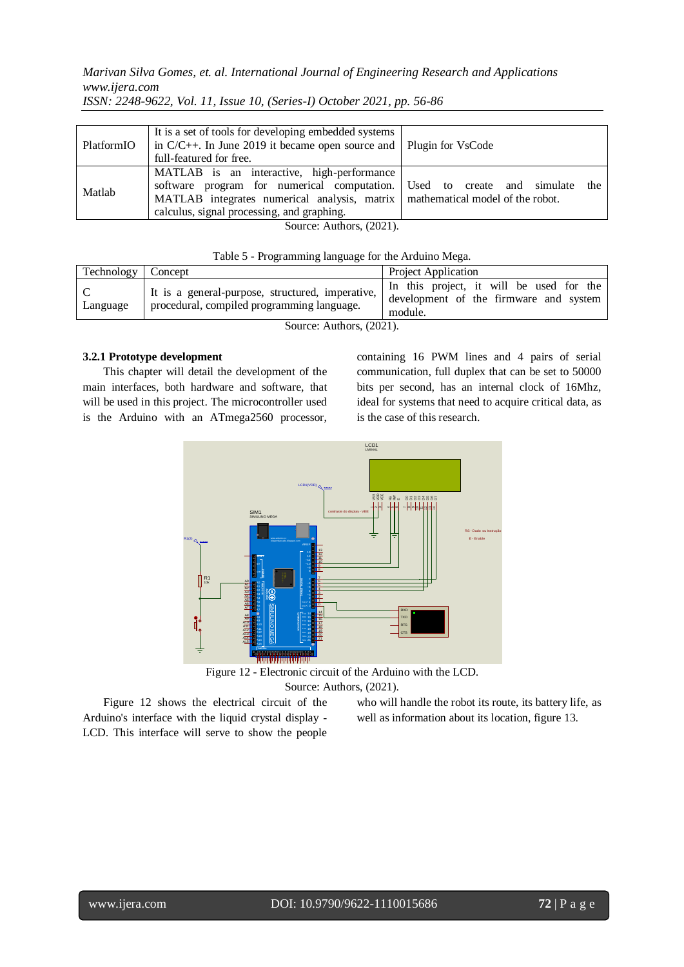*Marivan Silva Gomes, et. al. International Journal of Engineering Research and Applications www.ijera.com*

| PlatformIO               | It is a set of tools for developing embedded systems<br>in $C/C++$ . In June 2019 it became open source and   Plugin for VsCode<br>full-featured for free.                                                               |                                 |  |
|--------------------------|--------------------------------------------------------------------------------------------------------------------------------------------------------------------------------------------------------------------------|---------------------------------|--|
| Matlab                   | MATLAB is an interactive, high-performance<br>software program for numerical computation.<br>MATLAB integrates numerical analysis, matrix mathematical model of the robot.<br>calculus, signal processing, and graphing. | Used to create and simulate the |  |
| Source: Authors, (2021). |                                                                                                                                                                                                                          |                                 |  |

*ISSN: 2248-9622, Vol. 11, Issue 10, (Series-I) October 2021, pp. 56-86*

| Table 5 - Programming language for the Arduino Mega. |                                                                                                |                                                                                                    |  |
|------------------------------------------------------|------------------------------------------------------------------------------------------------|----------------------------------------------------------------------------------------------------|--|
| Technology   Concept                                 |                                                                                                | <b>Project Application</b>                                                                         |  |
| Language                                             | It is a general-purpose, structured, imperative,<br>procedural, compiled programming language. | In this project, it will be used for the<br>development of the firmware and system<br>المالية منحب |  |

module.

Source: Authors, (2021).

## **3.2.1 Prototype development**

This chapter will detail the development of the main interfaces, both hardware and software, that will be used in this project. The microcontroller used is the Arduino with an ATmega2560 processor, containing 16 PWM lines and 4 pairs of serial communication, full duplex that can be set to 50000 bits per second, has an internal clock of 16Mhz, ideal for systems that need to acquire critical data, as is the case of this research.



Figure 12 - Electronic circuit of the Arduino with the LCD. Source: Authors, (2021).

Figure 12 shows the electrical circuit of the Arduino's interface with the liquid crystal display - LCD. This interface will serve to show the people who will handle the robot its route, its battery life, as well as information about its location, figure 13.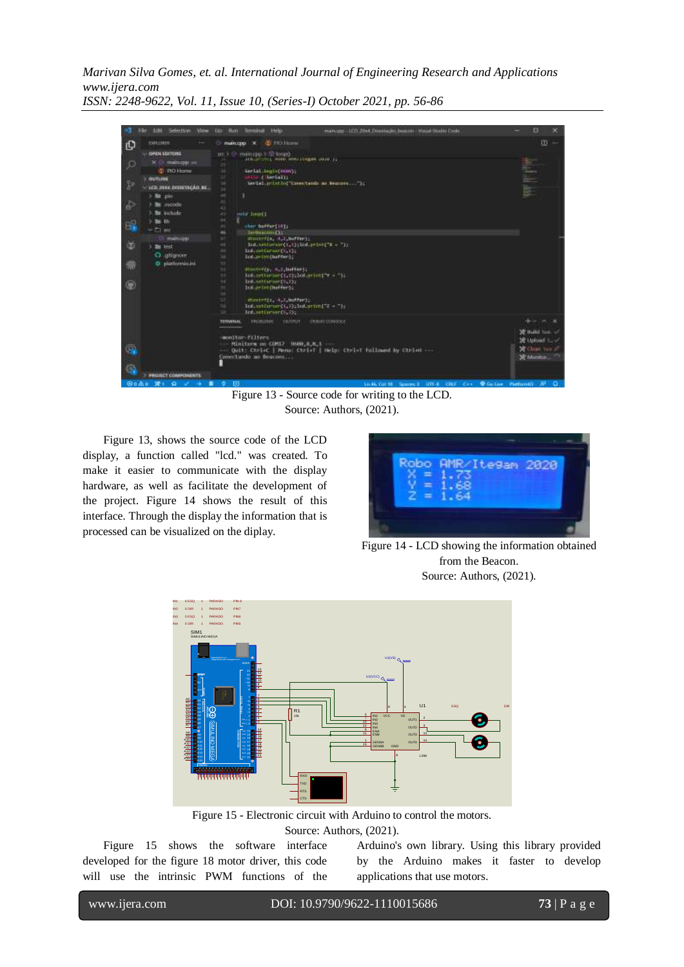

Figure 13 - Source code for writing to the LCD. Source: Authors, (2021).

Figure 13, shows the source code of the LCD display, a function called "lcd." was created. To make it easier to communicate with the display hardware, as well as facilitate the development of the project. Figure 14 shows the result of this interface. Through the display the information that is processed can be visualized on the diplay.



Figure 14 - LCD showing the information obtained from the Beacon. Source: Authors, (2021).



Figure 15 - Electronic circuit with Arduino to control the motors. Source: Authors, (2021).

Figure 15 shows the software interface developed for the figure 18 motor driver, this code will use the intrinsic PWM functions of the Arduino's own library. Using this library provided by the Arduino makes it faster to develop applications that use motors.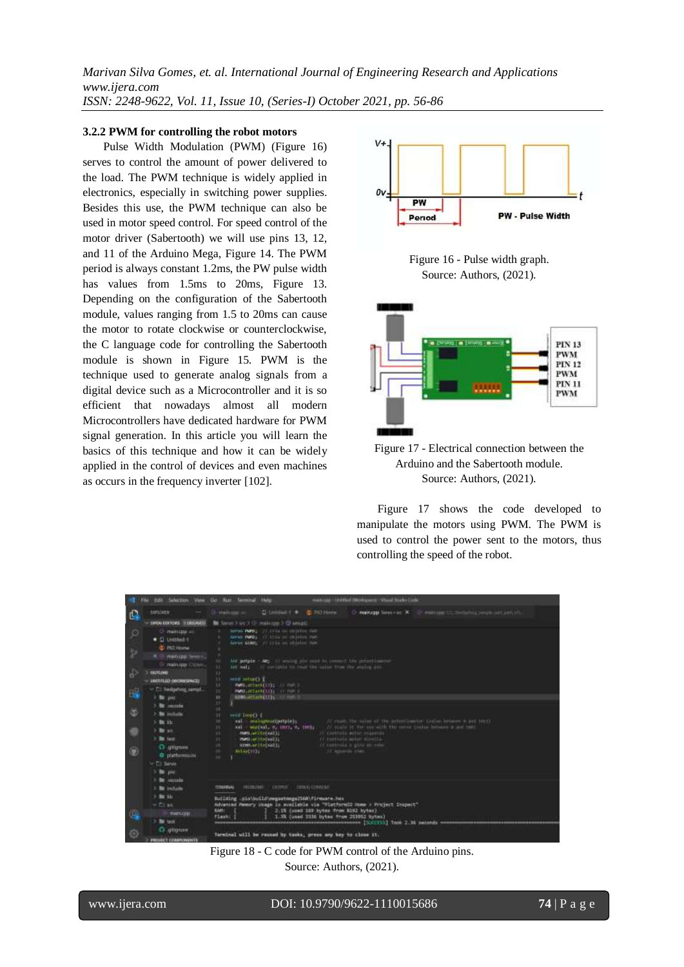#### **3.2.2 PWM for controlling the robot motors**

Pulse Width Modulation (PWM) (Figure 16) serves to control the amount of power delivered to the load. The PWM technique is widely applied in electronics, especially in switching power supplies. Besides this use, the PWM technique can also be used in motor speed control. For speed control of the motor driver (Sabertooth) we will use pins 13, 12, and 11 of the Arduino Mega, Figure 14. The PWM period is always constant 1.2ms, the PW pulse width has values from 1.5ms to 20ms, Figure 13. Depending on the configuration of the Sabertooth module, values ranging from 1.5 to 20ms can cause the motor to rotate clockwise or counterclockwise, the C language code for controlling the Sabertooth module is shown in Figure 15. PWM is the technique used to generate analog signals from a digital device such as a Microcontroller and it is so efficient that nowadays almost all modern Microcontrollers have dedicated hardware for PWM signal generation. In this article you will learn the basics of this technique and how it can be widely applied in the control of devices and even machines as occurs in the frequency inverter [102].



Figure 16 - Pulse width graph. Source: Authors, (2021).





Figure 17 shows the code developed to manipulate the motors using PWM. The PWM is used to control the power sent to the motors, thus controlling the speed of the robot.

|                     | datil Salarison View                                                                                                             | the film Terminal Help<br>manus per i biolithat (Westmanus) Visaal Hauler Corke                                                                                                                                                                                                                                                                                                                                                                                                                        |
|---------------------|----------------------------------------------------------------------------------------------------------------------------------|--------------------------------------------------------------------------------------------------------------------------------------------------------------------------------------------------------------------------------------------------------------------------------------------------------------------------------------------------------------------------------------------------------------------------------------------------------------------------------------------------------|
| C,                  | <b>1091 CATER</b>                                                                                                                | U-Hartupe s<br>d Lennett . d Hoters<br>O manzip laws car. X O manzipi D. Switcher, percent auf path is                                                                                                                                                                                                                                                                                                                                                                                                 |
| o<br>P.             | DIRENTIANS IT UNIVERSITY<br>O main go an<br>· O (William 1)<br><b>C RO Home</b><br>X C wanting terms.<br>Or mainless Utilism.    | <b>BE Serve 7 or 7 to making 2 Q small</b><br>ServiceMattle (2) 1714 on electric cars<br>If this as chicken can<br>Service PMGS<br>Aeron 62002. At trix on electric item<br><b>THE STATE</b><br>to actpix : Att fit make pin and to consol the principality                                                                                                                                                                                                                                            |
| Æ.                  | 3' curting<br>$-$ JANTITLED ORDSESPACE<br>- C: hedgehog sampl.                                                                   | int said. If contains to real the union from the grains and<br>m<br>33.<br>33<br>Hill intuit) T<br>WHILE EXPLOSIVE CONTROL<br>M                                                                                                                                                                                                                                                                                                                                                                        |
| 品                   | $> 20$ and                                                                                                                       | 18.<br>PURZLUSTATISTICS IN THE V<br><b>ATML: Farm(11): IT Fall</b><br>39                                                                                                                                                                                                                                                                                                                                                                                                                               |
| 面<br>497<br>$\circ$ | 3 little concerning<br>> Be include<br>$>$ 00 11:<br>3 Brac<br>3 lbs tast<br>O glunne<br>O platformisini                         | 33.<br>w<br>said Toroty C<br>TE<br>// cash the sides of the actual series calce between a set that<br>aul - maingmologynaic);<br>$\sim$<br>W state it for sur-alth the seve radio between must had<br>and consequent, by senting by senting.<br>75<br>IT Lisbible with visionity<br>ment av ite (val) i<br>$33^{\circ}$<br>If testrata astor shells.<br>matricer includibility<br>33<br>IV experience is given an ended<br><b>NEWLAY ITS OWNER</b><br>w<br>Al Aposton Pierr<br><b>ALLANTING!</b><br>g. |
| G                   | W.C.I. Service<br>$2.50 - 100$<br>1 litt vocade<br>3 little include<br>$>$ 10 $\pm$<br>W.Climat<br><b>THE LEFT</b><br>3 Ste task | HALBERT CERRIT SERVICENSCRI<br><b>TERMANIA</b><br>Building pictbuildteegsetmegs256A\firmwate.nex<br>Advanced Memory lisage is sualishie via "Fistformill Home > Project Inspect"<br><b>SAIN</b><br>2.1% (used 109 tytes from \$192 bytes)<br>1. Nk (used 1130 bytes from 213002 bytes)<br>Flash: 1<br>ensembergen [SUCIES] Took 2.35 seconds<br><b>MARGINE</b>                                                                                                                                         |
| $\circ$             | O grignore                                                                                                                       | Terminal will be reuned by tunks, press any key to close it.                                                                                                                                                                                                                                                                                                                                                                                                                                           |

Figure 18 - C code for PWM control of the Arduino pins. Source: Authors, (2021).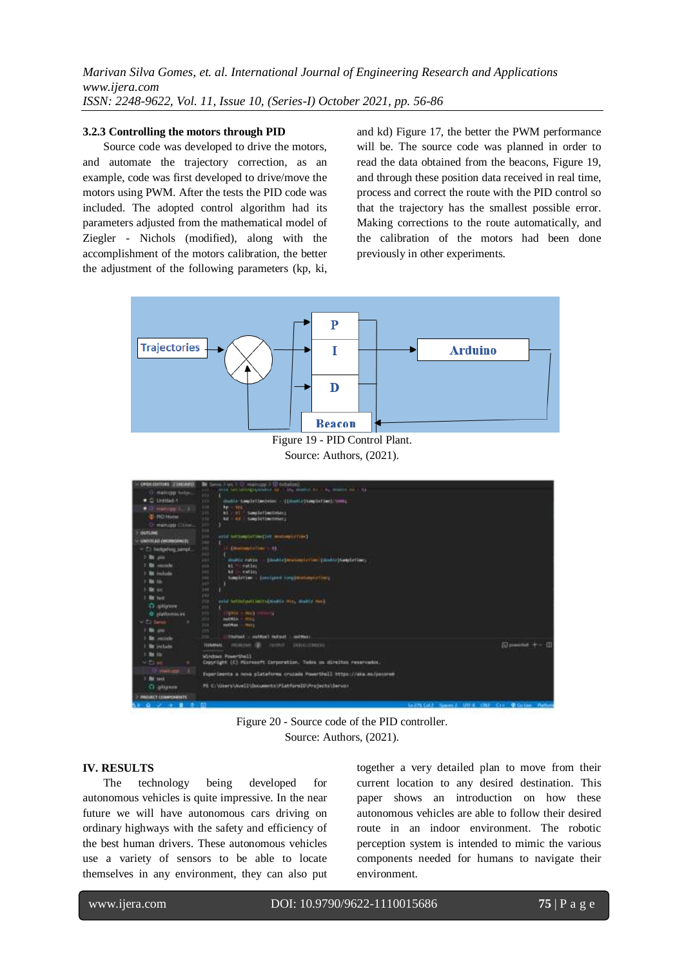#### **3.2.3 Controlling the motors through PID**

Source code was developed to drive the motors, and automate the trajectory correction, as an example, code was first developed to drive/move the motors using PWM. After the tests the PID code was included. The adopted control algorithm had its parameters adjusted from the mathematical model of Ziegler - Nichols (modified), along with the accomplishment of the motors calibration, the better the adjustment of the following parameters (kp, ki,

and kd) Figure 17, the better the PWM performance will be. The source code was planned in order to read the data obtained from the beacons, Figure 19, and through these position data received in real time, process and correct the route with the PID control so that the trajectory has the smallest possible error. Making corrections to the route automatically, and the calibration of the motors had been done previously in other experiments.



Figure 19 - PID Control Plant. Source: Authors, (2021).



Figure 20 - Source code of the PID controller. Source: Authors, (2021).

#### **IV. RESULTS**

The technology being developed for autonomous vehicles is quite impressive. In the near future we will have autonomous cars driving on ordinary highways with the safety and efficiency of the best human drivers. These autonomous vehicles use a variety of sensors to be able to locate themselves in any environment, they can also put together a very detailed plan to move from their current location to any desired destination. This paper shows an introduction on how these autonomous vehicles are able to follow their desired route in an indoor environment. The robotic perception system is intended to mimic the various components needed for humans to navigate their environment.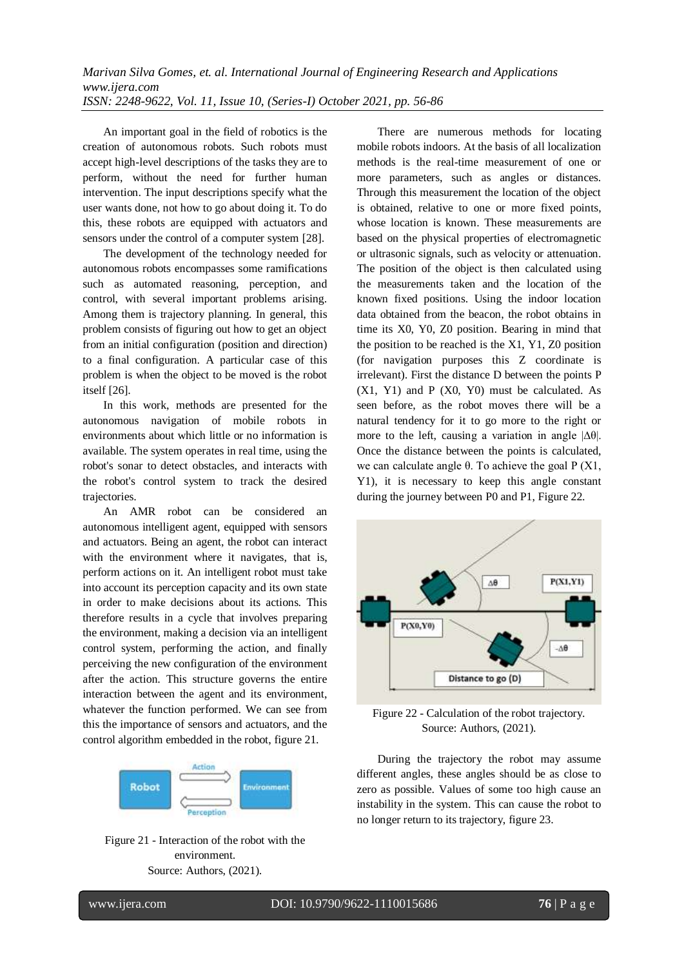An important goal in the field of robotics is the creation of autonomous robots. Such robots must accept high-level descriptions of the tasks they are to perform, without the need for further human intervention. The input descriptions specify what the user wants done, not how to go about doing it. To do this, these robots are equipped with actuators and sensors under the control of a computer system [28].

The development of the technology needed for autonomous robots encompasses some ramifications such as automated reasoning, perception, and control, with several important problems arising. Among them is trajectory planning. In general, this problem consists of figuring out how to get an object from an initial configuration (position and direction) to a final configuration. A particular case of this problem is when the object to be moved is the robot itself [26].

In this work, methods are presented for the autonomous navigation of mobile robots in environments about which little or no information is available. The system operates in real time, using the robot's sonar to detect obstacles, and interacts with the robot's control system to track the desired trajectories.

An AMR robot can be considered an autonomous intelligent agent, equipped with sensors and actuators. Being an agent, the robot can interact with the environment where it navigates, that is, perform actions on it. An intelligent robot must take into account its perception capacity and its own state in order to make decisions about its actions. This therefore results in a cycle that involves preparing the environment, making a decision via an intelligent control system, performing the action, and finally perceiving the new configuration of the environment after the action. This structure governs the entire interaction between the agent and its environment, whatever the function performed. We can see from this the importance of sensors and actuators, and the control algorithm embedded in the robot, figure 21.



Figure 21 - Interaction of the robot with the environment. Source: Authors, (2021).

There are numerous methods for locating mobile robots indoors. At the basis of all localization methods is the real-time measurement of one or more parameters, such as angles or distances. Through this measurement the location of the object is obtained, relative to one or more fixed points, whose location is known. These measurements are based on the physical properties of electromagnetic or ultrasonic signals, such as velocity or attenuation. The position of the object is then calculated using the measurements taken and the location of the known fixed positions. Using the indoor location data obtained from the beacon, the robot obtains in time its X0, Y0, Z0 position. Bearing in mind that the position to be reached is the X1, Y1, Z0 position (for navigation purposes this Z coordinate is irrelevant). First the distance D between the points P  $(X1, Y1)$  and P  $(X0, Y0)$  must be calculated. As seen before, as the robot moves there will be a natural tendency for it to go more to the right or more to the left, causing a variation in angle  $|\Delta\theta|$ . Once the distance between the points is calculated, we can calculate angle θ. To achieve the goal  $P(X1,$ Y1), it is necessary to keep this angle constant during the journey between P0 and P1, Figure 22.



Figure 22 - Calculation of the robot trajectory. Source: Authors, (2021).

During the trajectory the robot may assume different angles, these angles should be as close to zero as possible. Values of some too high cause an instability in the system. This can cause the robot to no longer return to its trajectory, figure 23.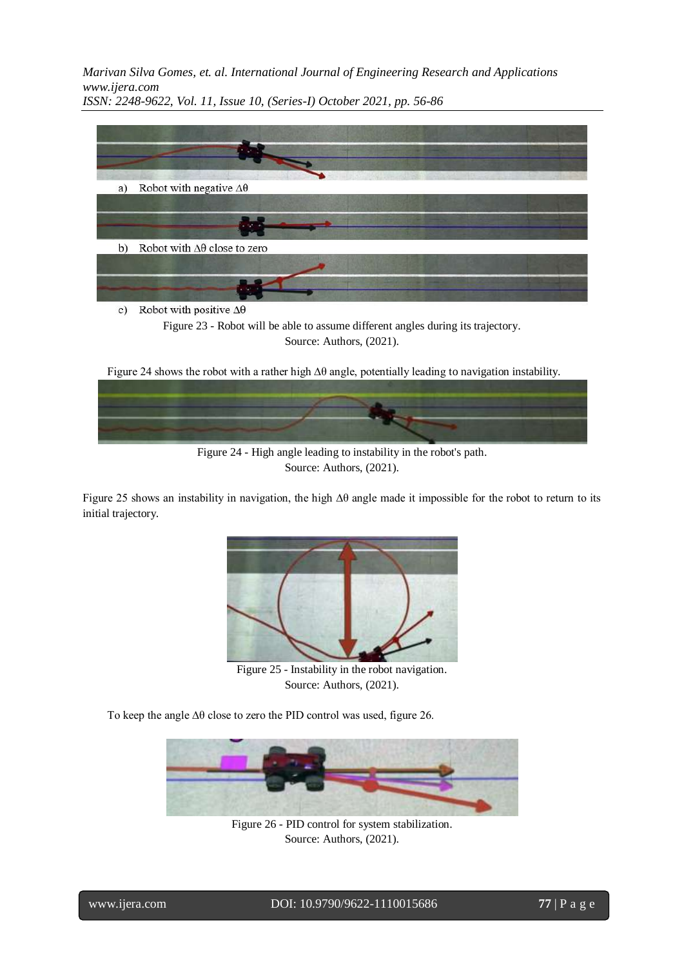

c) Robot with positive  $\Delta\theta$ 

Figure 23 - Robot will be able to assume different angles during its trajectory. Source: Authors, (2021).

Figure 24 shows the robot with a rather high ∆θ angle, potentially leading to navigation instability.



Figure 24 - High angle leading to instability in the robot's path. Source: Authors, (2021).

Figure 25 shows an instability in navigation, the high ∆θ angle made it impossible for the robot to return to its initial trajectory.



Figure 25 - Instability in the robot navigation. Source: Authors, (2021).

To keep the angle ∆θ close to zero the PID control was used, figure 26.



Figure 26 - PID control for system stabilization. Source: Authors, (2021).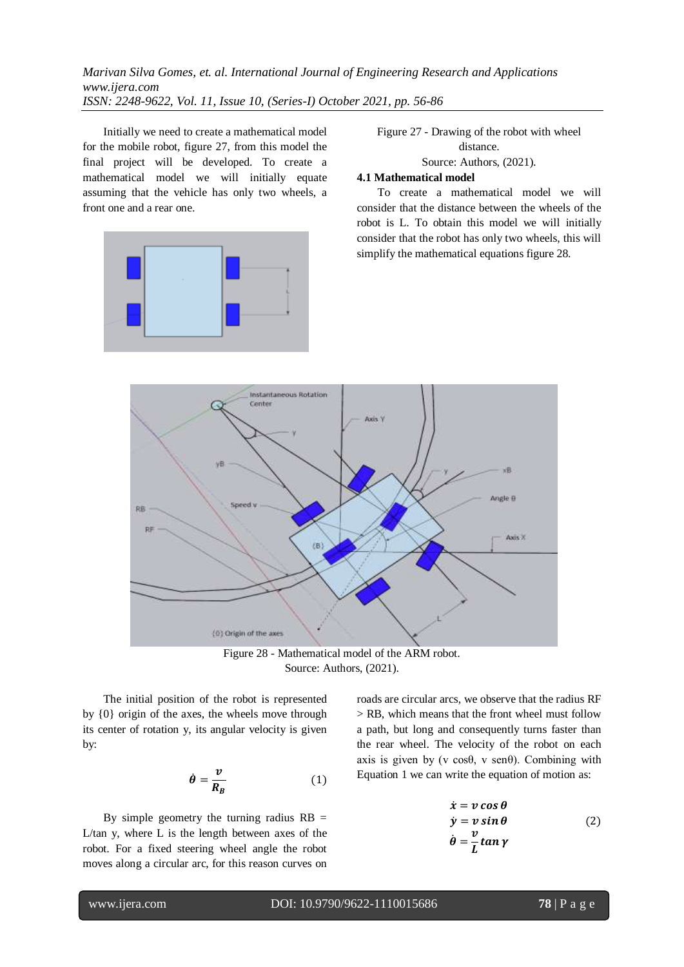Initially we need to create a mathematical model for the mobile robot, figure 27, from this model the final project will be developed. To create a mathematical model we will initially equate assuming that the vehicle has only two wheels, a front one and a rear one.



Figure 27 - Drawing of the robot with wheel distance. Source: Authors, (2021).

#### **4.1 Mathematical model**

To create a mathematical model we will consider that the distance between the wheels of the robot is L. To obtain this model we will initially consider that the robot has only two wheels, this will simplify the mathematical equations figure 28.



Figure 28 - Mathematical model of the ARM robot. Source: Authors, (2021).

The initial position of the robot is represented by {0} origin of the axes, the wheels move through its center of rotation y, its angular velocity is given by:

$$
\dot{\theta} = \frac{\nu}{R_B} \tag{1}
$$

By simple geometry the turning radius  $RB =$ L/tan y, where L is the length between axes of the robot. For a fixed steering wheel angle the robot moves along a circular arc, for this reason curves on roads are circular arcs, we observe that the radius RF > RB, which means that the front wheel must follow a path, but long and consequently turns faster than the rear wheel. The velocity of the robot on each axis is given by (v  $cos\theta$ , v  $sen\theta$ ). Combining with Equation 1 we can write the equation of motion as:

$$
\dot{x} = v \cos \theta \n\dot{y} = v \sin \theta \n\dot{\theta} = \frac{v}{L} \tan \gamma
$$
\n(2)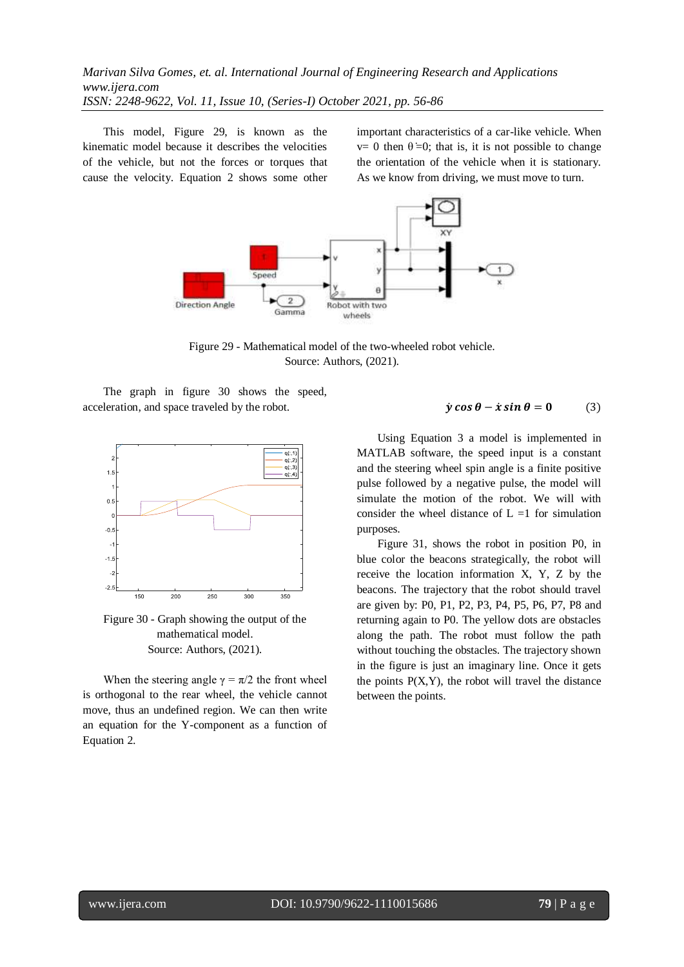This model, Figure 29, is known as the kinematic model because it describes the velocities of the vehicle, but not the forces or torques that cause the velocity. Equation 2 shows some other important characteristics of a car-like vehicle. When  $v= 0$  then  $\theta = 0$ ; that is, it is not possible to change the orientation of the vehicle when it is stationary. As we know from driving, we must move to turn.



Figure 29 - Mathematical model of the two-wheeled robot vehicle. Source: Authors, (2021).

The graph in figure 30 shows the speed, acceleration, and space traveled by the robot.



Figure 30 - Graph showing the output of the mathematical model. Source: Authors, (2021).

When the steering angle  $\gamma = \pi/2$  the front wheel is orthogonal to the rear wheel, the vehicle cannot move, thus an undefined region. We can then write an equation for the Y-component as a function of Equation 2.

#### $\dot{\gamma} \cos \theta - \dot{x} \sin \theta = 0$  (3)

Using Equation 3 a model is implemented in MATLAB software, the speed input is a constant and the steering wheel spin angle is a finite positive pulse followed by a negative pulse, the model will simulate the motion of the robot. We will with consider the wheel distance of  $L = 1$  for simulation purposes.

Figure 31, shows the robot in position P0, in blue color the beacons strategically, the robot will receive the location information X, Y, Z by the beacons. The trajectory that the robot should travel are given by: P0, P1, P2, P3, P4, P5, P6, P7, P8 and returning again to P0. The yellow dots are obstacles along the path. The robot must follow the path without touching the obstacles. The trajectory shown in the figure is just an imaginary line. Once it gets the points  $P(X, Y)$ , the robot will travel the distance between the points.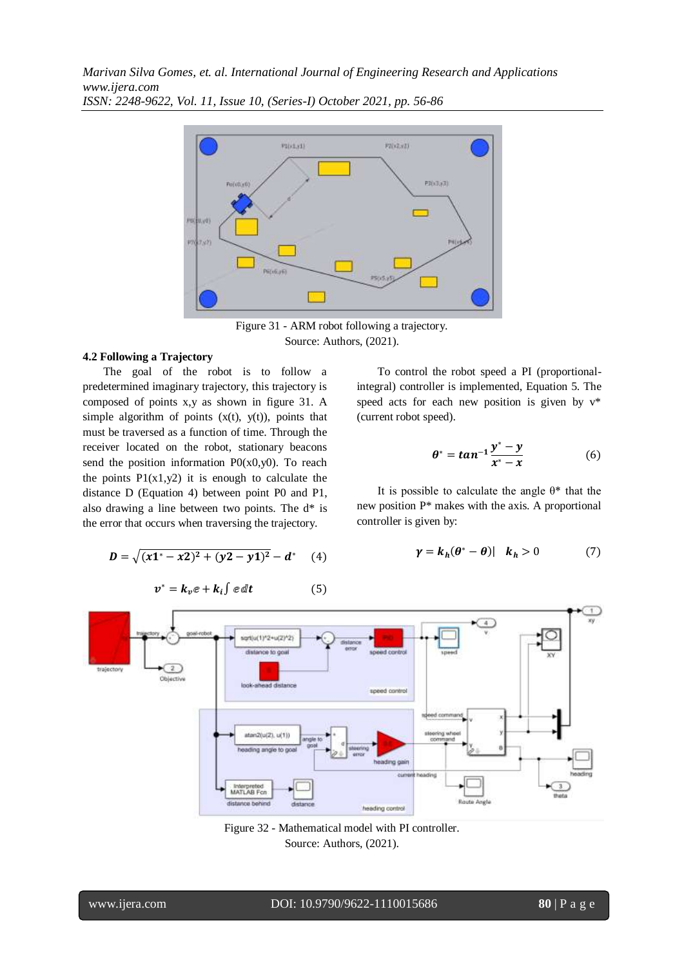

Figure 31 - ARM robot following a trajectory. Source: Authors, (2021).

## **4.2 Following a Trajectory**

The goal of the robot is to follow a predetermined imaginary trajectory, this trajectory is composed of points x,y as shown in figure 31. A simple algorithm of points  $(x(t), y(t))$ , points that must be traversed as a function of time. Through the receiver located on the robot, stationary beacons send the position information  $P0(x0,y0)$ . To reach the points  $P1(x1,y2)$  it is enough to calculate the distance D (Equation 4) between point P0 and P1, also drawing a line between two points. The d\* is the error that occurs when traversing the trajectory.

$$
D = \sqrt{(x1^* - x2)^2 + (y2 - y1)^2} - d^* \quad (4)
$$

$$
v^* = k_v e + k_i \int e \, dt \tag{5}
$$

To control the robot speed a PI (proportionalintegral) controller is implemented, Equation 5. The speed acts for each new position is given by v\* (current robot speed).

$$
\theta^* = \tan^{-1} \frac{y^* - y}{x^* - x} \tag{6}
$$

It is possible to calculate the angle  $\theta^*$  that the new position P\* makes with the axis. A proportional controller is given by:

$$
\gamma = k_h(\theta^* - \theta) | \quad k_h > 0 \tag{7}
$$



Figure 32 - Mathematical model with PI controller. Source: Authors, (2021).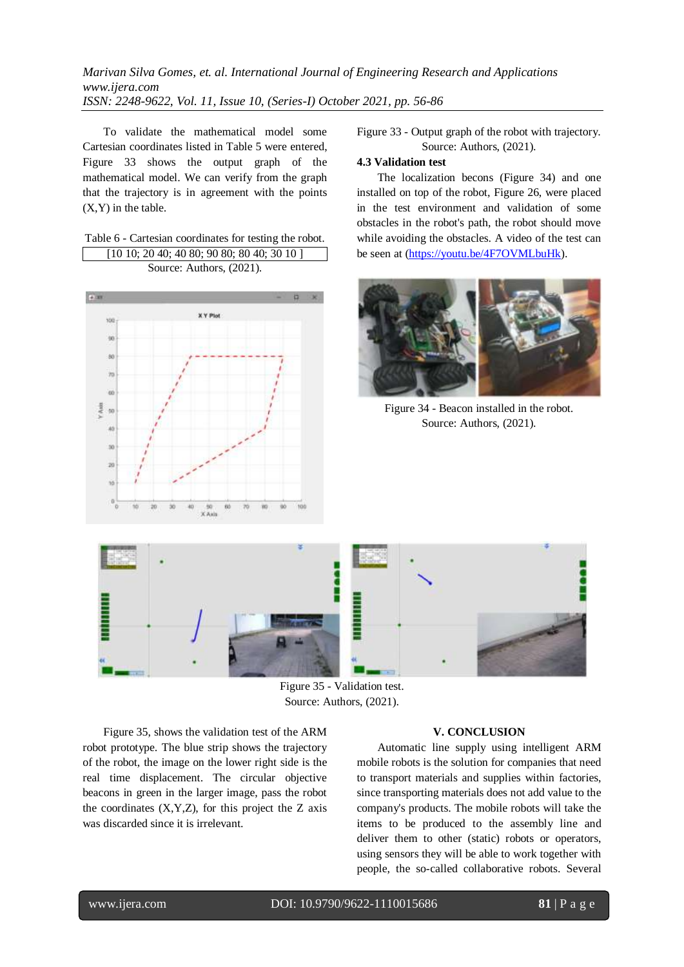To validate the mathematical model some Cartesian coordinates listed in Table 5 were entered, Figure 33 shows the output graph of the mathematical model. We can verify from the graph that the trajectory is in agreement with the points  $(X, Y)$  in the table.

# Table 6 - Cartesian coordinates for testing the robot. [10 10; 20 40; 40 80; 90 80; 80 40; 30 10 ]

Source: Authors, (2021).



Figure 33 - Output graph of the robot with trajectory. Source: Authors, (2021).

# **4.3 Validation test**

The localization becons (Figure 34) and one installed on top of the robot, Figure 26, were placed in the test environment and validation of some obstacles in the robot's path, the robot should move while avoiding the obstacles. A video of the test can be seen at [\(https://youtu.be/4F7OVMLbuHk\)](https://youtu.be/4F7OVMLbuHk).



Figure 34 - Beacon installed in the robot. Source: Authors, (2021).



Figure 35 - Validation test. Source: Authors, (2021).

Figure 35, shows the validation test of the ARM robot prototype. The blue strip shows the trajectory of the robot, the image on the lower right side is the real time displacement. The circular objective beacons in green in the larger image, pass the robot the coordinates  $(X, Y, Z)$ , for this project the Z axis was discarded since it is irrelevant.

#### **V. CONCLUSION**

Automatic line supply using intelligent ARM mobile robots is the solution for companies that need to transport materials and supplies within factories, since transporting materials does not add value to the company's products. The mobile robots will take the items to be produced to the assembly line and deliver them to other (static) robots or operators, using sensors they will be able to work together with people, the so-called collaborative robots. Several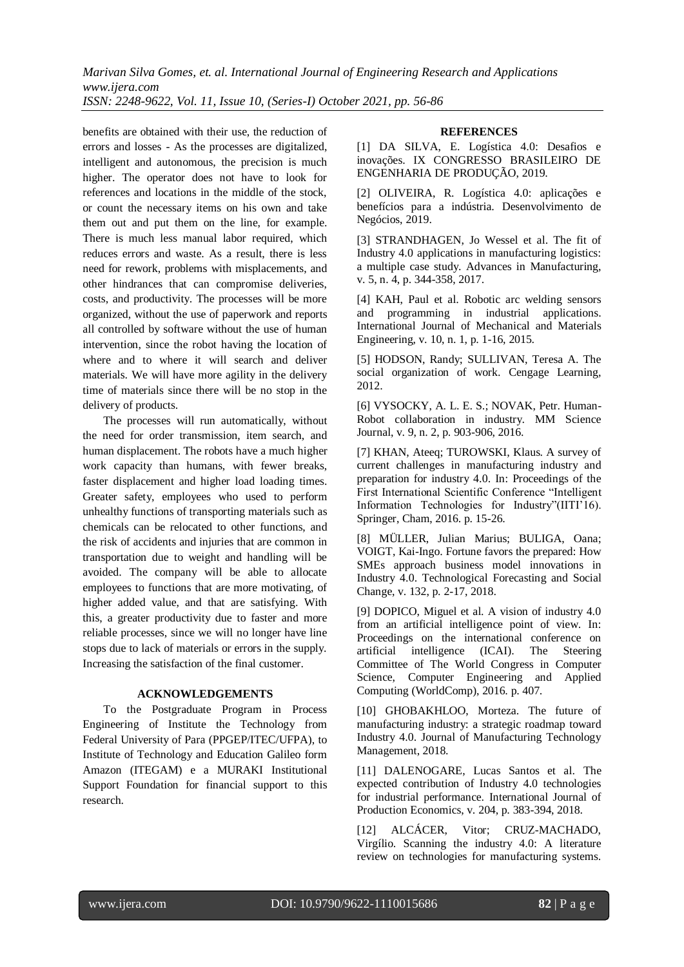benefits are obtained with their use, the reduction of errors and losses - As the processes are digitalized, intelligent and autonomous, the precision is much higher. The operator does not have to look for references and locations in the middle of the stock, or count the necessary items on his own and take them out and put them on the line, for example. There is much less manual labor required, which reduces errors and waste. As a result, there is less need for rework, problems with misplacements, and other hindrances that can compromise deliveries, costs, and productivity. The processes will be more organized, without the use of paperwork and reports all controlled by software without the use of human intervention, since the robot having the location of where and to where it will search and deliver materials. We will have more agility in the delivery time of materials since there will be no stop in the delivery of products.

The processes will run automatically, without the need for order transmission, item search, and human displacement. The robots have a much higher work capacity than humans, with fewer breaks, faster displacement and higher load loading times. Greater safety, employees who used to perform unhealthy functions of transporting materials such as chemicals can be relocated to other functions, and the risk of accidents and injuries that are common in transportation due to weight and handling will be avoided. The company will be able to allocate employees to functions that are more motivating, of higher added value, and that are satisfying. With this, a greater productivity due to faster and more reliable processes, since we will no longer have line stops due to lack of materials or errors in the supply. Increasing the satisfaction of the final customer.

## **ACKNOWLEDGEMENTS**

To the Postgraduate Program in Process Engineering of Institute the Technology from Federal University of Para (PPGEP/ITEC/UFPA), to Institute of Technology and Education Galileo form Amazon (ITEGAM) e a MURAKI Institutional Support Foundation for financial support to this research.

#### **REFERENCES**

[1] DA SILVA, E. Logística 4.0: Desafios e inovações. IX CONGRESSO BRASILEIRO DE ENGENHARIA DE PRODUÇÃO, 2019.

[2] OLIVEIRA, R. Logística 4.0: aplicações e benefícios para a indústria. Desenvolvimento de Negócios, 2019.

[3] STRANDHAGEN, Jo Wessel et al. The fit of Industry 4.0 applications in manufacturing logistics: a multiple case study. Advances in Manufacturing, v. 5, n. 4, p. 344-358, 2017.

[4] KAH, Paul et al. Robotic arc welding sensors and programming in industrial applications. International Journal of Mechanical and Materials Engineering, v. 10, n. 1, p. 1-16, 2015.

[5] HODSON, Randy; SULLIVAN, Teresa A. The social organization of work. Cengage Learning, 2012.

[6] VYSOCKY, A. L. E. S.; NOVAK, Petr. Human-Robot collaboration in industry. MM Science Journal, v. 9, n. 2, p. 903-906, 2016.

[7] KHAN, Ateeq; TUROWSKI, Klaus. A survey of current challenges in manufacturing industry and preparation for industry 4.0. In: Proceedings of the First International Scientific Conference "Intelligent Information Technologies for Industry"(IITI'16). Springer, Cham, 2016. p. 15-26.

[8] MÜLLER, Julian Marius; BULIGA, Oana; VOIGT, Kai-Ingo. Fortune favors the prepared: How SMEs approach business model innovations in Industry 4.0. Technological Forecasting and Social Change, v. 132, p. 2-17, 2018.

[9] DOPICO, Miguel et al. A vision of industry 4.0 from an artificial intelligence point of view. In: Proceedings on the international conference on artificial intelligence (ICAI). The Steering Committee of The World Congress in Computer Science, Computer Engineering and Applied Computing (WorldComp), 2016. p. 407.

[10] GHOBAKHLOO, Morteza. The future of manufacturing industry: a strategic roadmap toward Industry 4.0. Journal of Manufacturing Technology Management, 2018.

[11] DALENOGARE, Lucas Santos et al. The expected contribution of Industry 4.0 technologies for industrial performance. International Journal of Production Economics, v. 204, p. 383-394, 2018.

[12] ALCÁCER, Vitor; CRUZ-MACHADO, Virgílio. Scanning the industry 4.0: A literature review on technologies for manufacturing systems.

www.ijera.com DOI: 10.9790/9622-1110015686 **82** | P a g e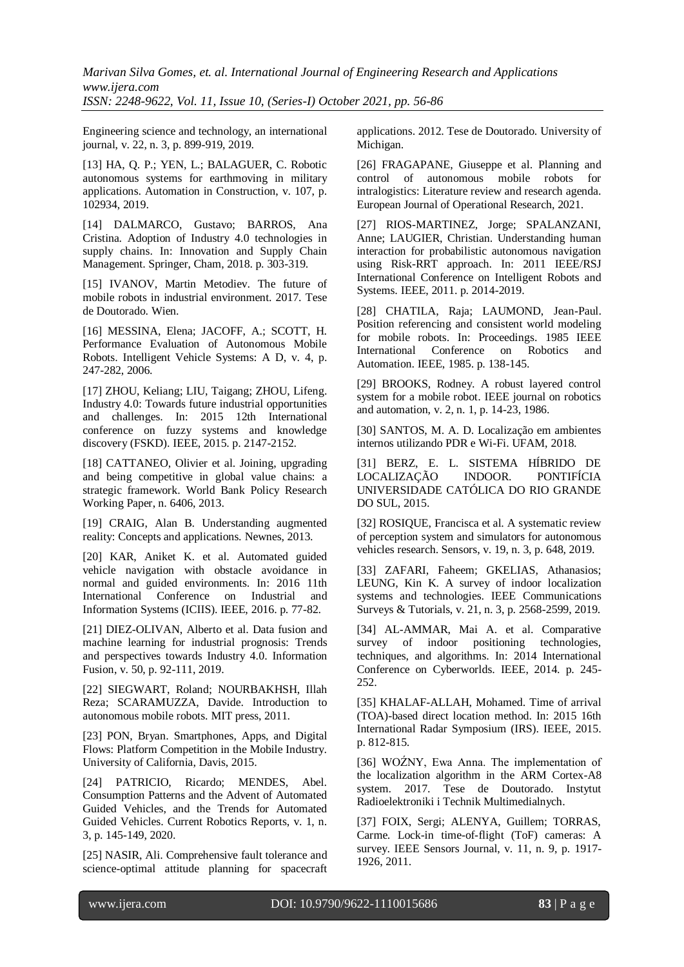Engineering science and technology, an international journal, v. 22, n. 3, p. 899-919, 2019.

[13] HA, Q. P.; YEN, L.; BALAGUER, C. Robotic autonomous systems for earthmoving in military applications. Automation in Construction, v. 107, p. 102934, 2019.

[14] DALMARCO, Gustavo; BARROS, Ana Cristina. Adoption of Industry 4.0 technologies in supply chains. In: Innovation and Supply Chain Management. Springer, Cham, 2018. p. 303-319.

[15] IVANOV, Martin Metodiev. The future of mobile robots in industrial environment. 2017. Tese de Doutorado. Wien.

[16] MESSINA, Elena; JACOFF, A.; SCOTT, H. Performance Evaluation of Autonomous Mobile Robots. Intelligent Vehicle Systems: A D, v. 4, p. 247-282, 2006.

[17] ZHOU, Keliang; LIU, Taigang; ZHOU, Lifeng. Industry 4.0: Towards future industrial opportunities and challenges. In: 2015 12th International conference on fuzzy systems and knowledge discovery (FSKD). IEEE, 2015. p. 2147-2152.

[18] CATTANEO, Olivier et al. Joining, upgrading and being competitive in global value chains: a strategic framework. World Bank Policy Research Working Paper, n. 6406, 2013.

[19] CRAIG, Alan B. Understanding augmented reality: Concepts and applications. Newnes, 2013.

[20] KAR, Aniket K. et al. Automated guided vehicle navigation with obstacle avoidance in normal and guided environments. In: 2016 11th International Conference on Industrial and Information Systems (ICIIS). IEEE, 2016. p. 77-82.

[21] DIEZ-OLIVAN, Alberto et al. Data fusion and machine learning for industrial prognosis: Trends and perspectives towards Industry 4.0. Information Fusion, v. 50, p. 92-111, 2019.

[22] SIEGWART, Roland; NOURBAKHSH, Illah Reza; SCARAMUZZA, Davide. Introduction to autonomous mobile robots. MIT press, 2011.

[23] PON, Bryan. Smartphones, Apps, and Digital Flows: Platform Competition in the Mobile Industry. University of California, Davis, 2015.

[24] PATRICIO, Ricardo; MENDES, Abel. Consumption Patterns and the Advent of Automated Guided Vehicles, and the Trends for Automated Guided Vehicles. Current Robotics Reports, v. 1, n. 3, p. 145-149, 2020.

[25] NASIR, Ali. Comprehensive fault tolerance and science-optimal attitude planning for spacecraft

applications. 2012. Tese de Doutorado. University of Michigan.

[26] FRAGAPANE, Giuseppe et al. Planning and control of autonomous mobile robots for intralogistics: Literature review and research agenda. European Journal of Operational Research, 2021.

[27] RIOS-MARTINEZ, Jorge; SPALANZANI, Anne; LAUGIER, Christian. Understanding human interaction for probabilistic autonomous navigation using Risk-RRT approach. In: 2011 IEEE/RSJ International Conference on Intelligent Robots and Systems. IEEE, 2011. p. 2014-2019.

[28] CHATILA, Raja; LAUMOND, Jean-Paul. Position referencing and consistent world modeling for mobile robots. In: Proceedings. 1985 IEEE International Conference on Robotics and Automation. IEEE, 1985. p. 138-145.

[29] BROOKS, Rodney. A robust layered control system for a mobile robot. IEEE journal on robotics and automation, v. 2, n. 1, p. 14-23, 1986.

[30] SANTOS, M. A. D. Localização em ambientes internos utilizando PDR e Wi-Fi. UFAM, 2018.

[31] BERZ, E. L. SISTEMA HÍBRIDO DE LOCALIZAÇÃO INDOOR. PONTIFÍCIA UNIVERSIDADE CATÓLICA DO RIO GRANDE DO SUL, 2015.

[32] ROSIQUE, Francisca et al. A systematic review of perception system and simulators for autonomous vehicles research. Sensors, v. 19, n. 3, p. 648, 2019.

[33] ZAFARI, Faheem; GKELIAS, Athanasios; LEUNG, Kin K. A survey of indoor localization systems and technologies. IEEE Communications Surveys & Tutorials, v. 21, n. 3, p. 2568-2599, 2019.

[34] AL-AMMAR, Mai A. et al. Comparative survey of indoor positioning technologies, techniques, and algorithms. In: 2014 International Conference on Cyberworlds. IEEE, 2014. p. 245- 252.

[35] KHALAF-ALLAH, Mohamed. Time of arrival (TOA)-based direct location method. In: 2015 16th International Radar Symposium (IRS). IEEE, 2015. p. 812-815.

[36] WOŹNY, Ewa Anna. The implementation of the localization algorithm in the ARM Cortex-A8 system. 2017. Tese de Doutorado. Instytut Radioelektroniki i Technik Multimedialnych.

[37] FOIX, Sergi; ALENYA, Guillem; TORRAS, Carme. Lock-in time-of-flight (ToF) cameras: A survey. IEEE Sensors Journal, v. 11, n. 9, p. 1917- 1926, 2011.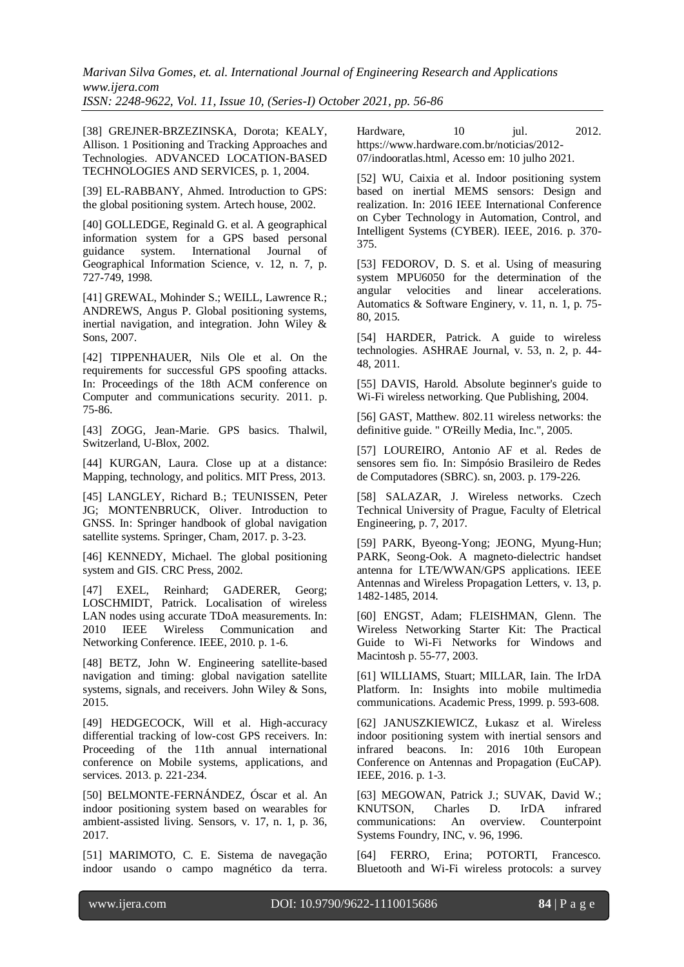[38] GREJNER-BRZEZINSKA, Dorota; KEALY, Allison. 1 Positioning and Tracking Approaches and Technologies. ADVANCED LOCATION-BASED TECHNOLOGIES AND SERVICES, p. 1, 2004.

[39] EL-RABBANY, Ahmed. Introduction to GPS: the global positioning system. Artech house, 2002.

[40] GOLLEDGE, Reginald G. et al. A geographical information system for a GPS based personal guidance system. International Journal of Geographical Information Science, v. 12, n. 7, p. 727-749, 1998.

[41] GREWAL, Mohinder S.; WEILL, Lawrence R.; ANDREWS, Angus P. Global positioning systems, inertial navigation, and integration. John Wiley & Sons, 2007.

[42] TIPPENHAUER, Nils Ole et al. On the requirements for successful GPS spoofing attacks. In: Proceedings of the 18th ACM conference on Computer and communications security. 2011. p. 75-86.

[43] ZOGG, Jean-Marie. GPS basics. Thalwil, Switzerland, U-Blox, 2002.

[44] KURGAN, Laura. Close up at a distance: Mapping, technology, and politics. MIT Press, 2013.

[45] LANGLEY, Richard B.; TEUNISSEN, Peter JG; MONTENBRUCK, Oliver. Introduction to GNSS. In: Springer handbook of global navigation satellite systems. Springer, Cham, 2017. p. 3-23.

[46] KENNEDY, Michael. The global positioning system and GIS. CRC Press, 2002.

[47] EXEL, Reinhard; GADERER, Georg; LOSCHMIDT, Patrick. Localisation of wireless LAN nodes using accurate TDoA measurements. In: 2010 IEEE Wireless Communication and Networking Conference. IEEE, 2010. p. 1-6.

[48] BETZ, John W. Engineering satellite-based navigation and timing: global navigation satellite systems, signals, and receivers. John Wiley & Sons, 2015.

[49] HEDGECOCK, Will et al. High-accuracy differential tracking of low-cost GPS receivers. In: Proceeding of the 11th annual international conference on Mobile systems, applications, and services. 2013. p. 221-234.

[50] BELMONTE-FERNÁNDEZ, Óscar et al. An indoor positioning system based on wearables for ambient-assisted living. Sensors, v. 17, n. 1, p. 36, 2017.

[51] MARIMOTO, C. E. Sistema de navegação indoor usando o campo magnético da terra.

Hardware, 10 jul. 2012. https://www.hardware.com.br/noticias/2012- 07/indooratlas.html, Acesso em: 10 julho 2021.

[52] WU, Caixia et al. Indoor positioning system based on inertial MEMS sensors: Design and realization. In: 2016 IEEE International Conference on Cyber Technology in Automation, Control, and Intelligent Systems (CYBER). IEEE, 2016. p. 370- 375.

[53] FEDOROV, D. S. et al. Using of measuring system MPU6050 for the determination of the angular velocities and linear accelerations. Automatics & Software Enginery, v. 11, n. 1, p. 75- 80, 2015.

[54] HARDER, Patrick. A guide to wireless technologies. ASHRAE Journal, v. 53, n. 2, p. 44- 48, 2011.

[55] DAVIS, Harold. Absolute beginner's guide to Wi-Fi wireless networking. Que Publishing, 2004.

[56] GAST, Matthew. 802.11 wireless networks: the definitive guide. " O'Reilly Media, Inc.", 2005.

[57] LOUREIRO, Antonio AF et al. Redes de sensores sem fio. In: Simpósio Brasileiro de Redes de Computadores (SBRC). sn, 2003. p. 179-226.

[58] SALAZAR, J. Wireless networks. Czech Technical University of Prague, Faculty of Eletrical Engineering, p. 7, 2017.

[59] PARK, Byeong-Yong; JEONG, Myung-Hun; PARK, Seong-Ook. A magneto-dielectric handset antenna for LTE/WWAN/GPS applications. IEEE Antennas and Wireless Propagation Letters, v. 13, p. 1482-1485, 2014.

[60] ENGST, Adam; FLEISHMAN, Glenn. The Wireless Networking Starter Kit: The Practical Guide to Wi-Fi Networks for Windows and Macintosh p. 55-77, 2003.

[61] WILLIAMS, Stuart; MILLAR, Iain. The IrDA Platform. In: Insights into mobile multimedia communications. Academic Press, 1999. p. 593-608.

[62] JANUSZKIEWICZ, Łukasz et al. Wireless indoor positioning system with inertial sensors and infrared beacons. In: 2016 10th European Conference on Antennas and Propagation (EuCAP). IEEE, 2016. p. 1-3.

[63] MEGOWAN, Patrick J.; SUVAK, David W.; KNUTSON, Charles D. IrDA infrared communications: An overview. Counterpoint Systems Foundry, INC, v. 96, 1996.

[64] FERRO, Erina; POTORTI, Francesco. Bluetooth and Wi-Fi wireless protocols: a survey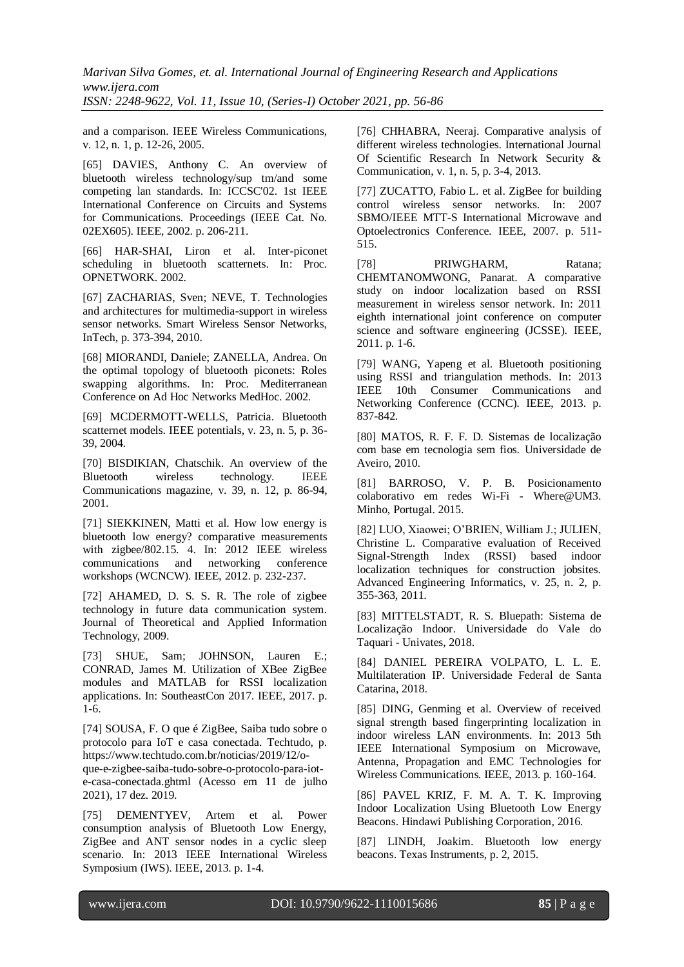and a comparison. IEEE Wireless Communications, v. 12, n. 1, p. 12-26, 2005.

[65] DAVIES, Anthony C. An overview of bluetooth wireless technology/sup tm/and some competing lan standards. In: ICCSC'02. 1st IEEE International Conference on Circuits and Systems for Communications. Proceedings (IEEE Cat. No. 02EX605). IEEE, 2002. p. 206-211.

[66] HAR-SHAI, Liron et al. Inter-piconet scheduling in bluetooth scatternets. In: Proc. OPNETWORK. 2002.

[67] ZACHARIAS, Sven; NEVE, T. Technologies and architectures for multimedia-support in wireless sensor networks. Smart Wireless Sensor Networks, InTech, p. 373-394, 2010.

[68] MIORANDI, Daniele; ZANELLA, Andrea. On the optimal topology of bluetooth piconets: Roles swapping algorithms. In: Proc. Mediterranean Conference on Ad Hoc Networks MedHoc. 2002.

[69] MCDERMOTT-WELLS, Patricia. Bluetooth scatternet models. IEEE potentials, v. 23, n. 5, p. 36- 39, 2004.

[70] BISDIKIAN, Chatschik. An overview of the Bluetooth wireless technology. IEEE Communications magazine, v. 39, n. 12, p. 86-94, 2001.

[71] SIEKKINEN, Matti et al. How low energy is bluetooth low energy? comparative measurements with zigbee/802.15. 4. In: 2012 IEEE wireless communications and networking conference workshops (WCNCW). IEEE, 2012. p. 232-237.

[72] AHAMED, D. S. S. R. The role of zigbee technology in future data communication system. Journal of Theoretical and Applied Information Technology, 2009.

[73] SHUE, Sam; JOHNSON, Lauren E.; CONRAD, James M. Utilization of XBee ZigBee modules and MATLAB for RSSI localization applications. In: SoutheastCon 2017. IEEE, 2017. p. 1-6.

[74] SOUSA, F. O que é ZigBee, Saiba tudo sobre o protocolo para IoT e casa conectada. Techtudo, p. https://www.techtudo.com.br/noticias/2019/12/o-

que-e-zigbee-saiba-tudo-sobre-o-protocolo-para-iote-casa-conectada.ghtml (Acesso em 11 de julho 2021), 17 dez. 2019.

[75] DEMENTYEV, Artem et al. Power consumption analysis of Bluetooth Low Energy, ZigBee and ANT sensor nodes in a cyclic sleep scenario. In: 2013 IEEE International Wireless Symposium (IWS). IEEE, 2013. p. 1-4.

[76] CHHABRA, Neeraj. Comparative analysis of different wireless technologies. International Journal Of Scientific Research In Network Security & Communication, v. 1, n. 5, p. 3-4, 2013.

[77] ZUCATTO, Fabio L. et al. ZigBee for building control wireless sensor networks. In: 2007 SBMO/IEEE MTT-S International Microwave and Optoelectronics Conference. IEEE, 2007. p. 511- 515.

[78] PRIWGHARM, Ratana; CHEMTANOMWONG, Panarat. A comparative study on indoor localization based on RSSI measurement in wireless sensor network. In: 2011 eighth international joint conference on computer science and software engineering (JCSSE). IEEE, 2011. p. 1-6.

[79] WANG, Yapeng et al. Bluetooth positioning using RSSI and triangulation methods. In: 2013 IEEE 10th Consumer Communications and Networking Conference (CCNC). IEEE, 2013. p. 837-842.

[80] MATOS, R. F. F. D. Sistemas de localização com base em tecnologia sem fios. Universidade de Aveiro, 2010.

[81] BARROSO, V. P. B. Posicionamento colaborativo em redes Wi-Fi - Where@UM3. Minho, Portugal. 2015.

[82] LUO, Xiaowei; O'BRIEN, William J.; JULIEN, Christine L. Comparative evaluation of Received Signal-Strength Index (RSSI) based indoor localization techniques for construction jobsites. Advanced Engineering Informatics, v. 25, n. 2, p. 355-363, 2011.

[83] MITTELSTADT, R. S. Bluepath: Sistema de Localização Indoor. Universidade do Vale do Taquari - Univates, 2018.

[84] DANIEL PEREIRA VOLPATO, L. L. E. Multilateration IP. Universidade Federal de Santa Catarina, 2018.

[85] DING, Genming et al. Overview of received signal strength based fingerprinting localization in indoor wireless LAN environments. In: 2013 5th IEEE International Symposium on Microwave, Antenna, Propagation and EMC Technologies for Wireless Communications. IEEE, 2013. p. 160-164.

[86] PAVEL KRIZ, F. M. A. T. K. Improving Indoor Localization Using Bluetooth Low Energy Beacons. Hindawi Publishing Corporation, 2016.

[87] LINDH, Joakim. Bluetooth low energy beacons. Texas Instruments, p. 2, 2015.